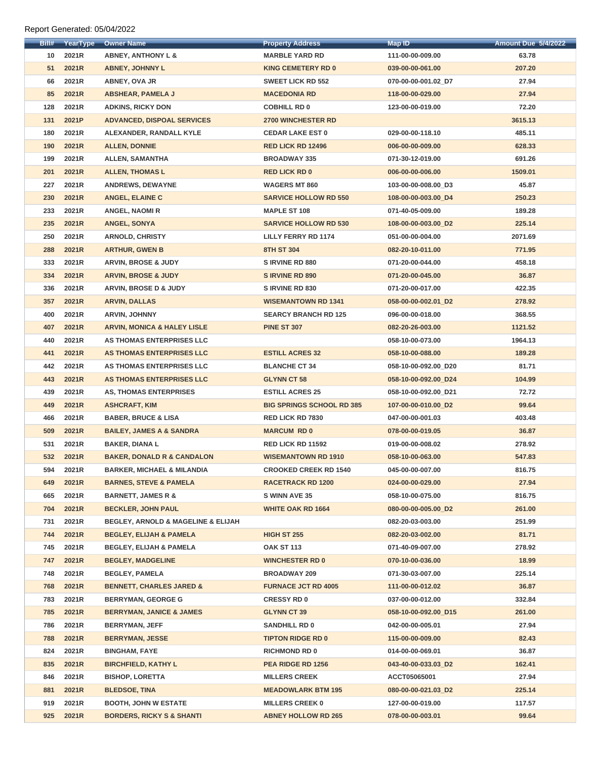Report Generated: 05/04/2022

| Bill# | YearType | <b>Owner Name</b>                                 | <b>Property Address</b>          | <b>Map ID</b>        | <b>Amount Due 5/4/2022</b> |
|-------|----------|---------------------------------------------------|----------------------------------|----------------------|----------------------------|
| 10    | 2021R    | <b>ABNEY, ANTHONY L &amp;</b>                     | <b>MARBLE YARD RD</b>            | 111-00-00-009.00     | 63.78                      |
| 51    | 2021R    | <b>ABNEY, JOHNNY L</b>                            | <b>KING CEMETERY RD 0</b>        | 039-00-00-061.00     | 207.20                     |
| 66    | 2021R    | <b>ABNEY, OVA JR</b>                              | <b>SWEET LICK RD 552</b>         | 070-00-00-001.02_D7  | 27.94                      |
| 85    | 2021R    | <b>ABSHEAR, PAMELA J</b>                          | <b>MACEDONIA RD</b>              | 118-00-00-029.00     | 27.94                      |
| 128   | 2021R    | <b>ADKINS, RICKY DON</b>                          | <b>COBHILL RD 0</b>              | 123-00-00-019.00     | 72.20                      |
| 131   | 2021P    | <b>ADVANCED, DISPOAL SERVICES</b>                 | <b>2700 WINCHESTER RD</b>        |                      | 3615.13                    |
| 180   | 2021R    | ALEXANDER, RANDALL KYLE                           | <b>CEDAR LAKE EST 0</b>          | 029-00-00-118.10     | 485.11                     |
| 190   | 2021R    | <b>ALLEN, DONNIE</b>                              | <b>RED LICK RD 12496</b>         | 006-00-00-009.00     | 628.33                     |
| 199   | 2021R    | <b>ALLEN, SAMANTHA</b>                            | <b>BROADWAY 335</b>              | 071-30-12-019.00     | 691.26                     |
| 201   | 2021R    | <b>ALLEN, THOMAS L</b>                            | <b>RED LICK RD 0</b>             | 006-00-00-006.00     | 1509.01                    |
| 227   | 2021R    | <b>ANDREWS, DEWAYNE</b>                           | <b>WAGERS MT 860</b>             | 103-00-00-008.00_D3  | 45.87                      |
| 230   | 2021R    | <b>ANGEL, ELAINE C</b>                            | <b>SARVICE HOLLOW RD 550</b>     | 108-00-00-003.00_D4  | 250.23                     |
| 233   | 2021R    | <b>ANGEL, NAOMIR</b>                              | <b>MAPLE ST 108</b>              | 071-40-05-009.00     | 189.28                     |
| 235   | 2021R    | <b>ANGEL, SONYA</b>                               | <b>SARVICE HOLLOW RD 530</b>     | 108-00-00-003.00_D2  | 225.14                     |
| 250   | 2021R    | <b>ARNOLD, CHRISTY</b>                            | <b>LILLY FERRY RD 1174</b>       | 051-00-00-004.00     | 2071.69                    |
| 288   | 2021R    | <b>ARTHUR, GWEN B</b>                             | <b>8TH ST 304</b>                | 082-20-10-011.00     | 771.95                     |
| 333   | 2021R    | <b>ARVIN, BROSE &amp; JUDY</b>                    | <b>SIRVINE RD 880</b>            | 071-20-00-044.00     | 458.18                     |
| 334   | 2021R    | <b>ARVIN, BROSE &amp; JUDY</b>                    | <b>SIRVINE RD 890</b>            | 071-20-00-045.00     | 36.87                      |
| 336   | 2021R    | <b>ARVIN, BROSE D &amp; JUDY</b>                  | <b>SIRVINE RD 830</b>            | 071-20-00-017.00     | 422.35                     |
| 357   | 2021R    | <b>ARVIN, DALLAS</b>                              | <b>WISEMANTOWN RD 1341</b>       | 058-00-00-002.01_D2  | 278.92                     |
| 400   | 2021R    | <b>ARVIN, JOHNNY</b>                              | <b>SEARCY BRANCH RD 125</b>      | 096-00-00-018.00     | 368.55                     |
| 407   | 2021R    | <b>ARVIN, MONICA &amp; HALEY LISLE</b>            | <b>PINE ST 307</b>               | 082-20-26-003.00     | 1121.52                    |
| 440   | 2021R    | <b>AS THOMAS ENTERPRISES LLC</b>                  |                                  | 058-10-00-073.00     | 1964.13                    |
| 441   | 2021R    | AS THOMAS ENTERPRISES LLC                         | <b>ESTILL ACRES 32</b>           | 058-10-00-088.00     | 189.28                     |
| 442   | 2021R    | AS THOMAS ENTERPRISES LLC                         | <b>BLANCHE CT 34</b>             | 058-10-00-092.00_D20 | 81.71                      |
| 443   | 2021R    | AS THOMAS ENTERPRISES LLC                         | <b>GLYNN CT 58</b>               | 058-10-00-092.00_D24 | 104.99                     |
| 439   | 2021R    | <b>AS, THOMAS ENTERPRISES</b>                     | <b>ESTILL ACRES 25</b>           | 058-10-00-092.00 D21 | 72.72                      |
| 449   | 2021R    | <b>ASHCRAFT, KIM</b>                              | <b>BIG SPRINGS SCHOOL RD 385</b> | 107-00-00-010.00_D2  | 99.64                      |
| 466   | 2021R    | <b>BABER, BRUCE &amp; LISA</b>                    | <b>RED LICK RD 7830</b>          | 047-00-00-001.03     | 403.48                     |
| 509   | 2021R    | <b>BAILEY, JAMES A &amp; SANDRA</b>               | <b>MARCUM RD 0</b>               | 078-00-00-019.05     | 36.87                      |
| 531   | 2021R    | <b>BAKER, DIANA L</b>                             | <b>RED LICK RD 11592</b>         | 019-00-00-008.02     | 278.92                     |
| 532   | 2021R    | <b>BAKER, DONALD R &amp; CANDALON</b>             | <b>WISEMANTOWN RD 1910</b>       | 058-10-00-063.00     | 547.83                     |
| 594   | 2021R    | <b>BARKER, MICHAEL &amp; MILANDIA</b>             | <b>CROOKED CREEK RD 1540</b>     | 045-00-00-007.00     | 816.75                     |
| 649   | 2021R    | <b>BARNES, STEVE &amp; PAMELA</b>                 | <b>RACETRACK RD 1200</b>         | 024-00-00-029.00     | 27.94                      |
| 665   | 2021R    | <b>BARNETT, JAMES R &amp;</b>                     | <b>S WINN AVE 35</b>             | 058-10-00-075.00     | 816.75                     |
| 704   | 2021R    | <b>BECKLER, JOHN PAUL</b>                         | <b>WHITE OAK RD 1664</b>         | 080-00-00-005.00_D2  | 261.00                     |
| 731   | 2021R    | <b>BEGLEY, ARNOLD &amp; MAGELINE &amp; ELIJAH</b> |                                  | 082-20-03-003.00     | 251.99                     |
| 744   | 2021R    | <b>BEGLEY, ELIJAH &amp; PAMELA</b>                | <b>HIGH ST 255</b>               | 082-20-03-002.00     | 81.71                      |
| 745   | 2021R    | <b>BEGLEY, ELIJAH &amp; PAMELA</b>                | <b>OAK ST 113</b>                | 071-40-09-007.00     | 278.92                     |
| 747   | 2021R    | <b>BEGLEY, MADGELINE</b>                          | <b>WINCHESTER RD 0</b>           | 070-10-00-036.00     | 18.99                      |
| 748   | 2021R    | <b>BEGLEY, PAMELA</b>                             | <b>BROADWAY 209</b>              | 071-30-03-007.00     | 225.14                     |
| 768   | 2021R    | <b>BENNETT, CHARLES JARED &amp;</b>               | <b>FURNACE JCT RD 4005</b>       | 111-00-00-012.02     | 36.87                      |
| 783   | 2021R    | <b>BERRYMAN, GEORGE G</b>                         | <b>CRESSY RD 0</b>               | 037-00-00-012.00     | 332.84                     |
| 785   | 2021R    | <b>BERRYMAN, JANICE &amp; JAMES</b>               | <b>GLYNN CT 39</b>               | 058-10-00-092.00_D15 | 261.00                     |
| 786   | 2021R    | <b>BERRYMAN, JEFF</b>                             | <b>SANDHILL RD 0</b>             | 042-00-00-005.01     | 27.94                      |
| 788   | 2021R    | <b>BERRYMAN, JESSE</b>                            | <b>TIPTON RIDGE RD 0</b>         | 115-00-00-009.00     | 82.43                      |
| 824   | 2021R    | <b>BINGHAM, FAYE</b>                              | <b>RICHMOND RD 0</b>             | 014-00-00-069.01     | 36.87                      |
| 835   | 2021R    | <b>BIRCHFIELD, KATHY L</b>                        | PEA RIDGE RD 1256                | 043-40-00-033.03_D2  | 162.41                     |
| 846   | 2021R    | <b>BISHOP, LORETTA</b>                            | <b>MILLERS CREEK</b>             | ACCT05065001         | 27.94                      |
| 881   | 2021R    | <b>BLEDSOE, TINA</b>                              | <b>MEADOWLARK BTM 195</b>        | 080-00-00-021.03 D2  | 225.14                     |
| 919   | 2021R    | <b>BOOTH, JOHN W ESTATE</b>                       | <b>MILLERS CREEK 0</b>           | 127-00-00-019.00     | 117.57                     |
| 925   | 2021R    | <b>BORDERS, RICKY S &amp; SHANTI</b>              | <b>ABNEY HOLLOW RD 265</b>       | 078-00-00-003.01     | 99.64                      |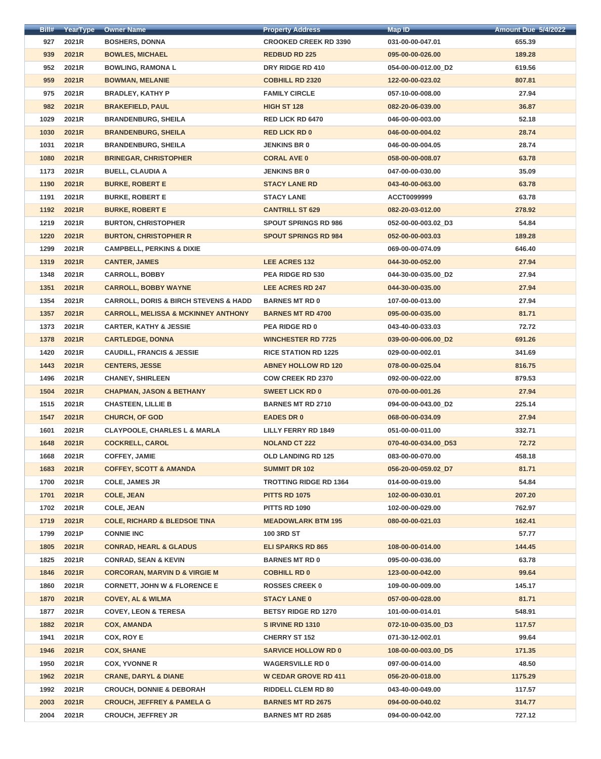| Bill# | YearType | <b>Owner Name</b>                                    | <b>Property Address</b>       | Map ID               | <b>Amount Due 5/4/2022</b> |
|-------|----------|------------------------------------------------------|-------------------------------|----------------------|----------------------------|
| 927   | 2021R    | <b>BOSHERS, DONNA</b>                                | <b>CROOKED CREEK RD 3390</b>  | 031-00-00-047.01     | 655.39                     |
| 939   | 2021R    | <b>BOWLES, MICHAEL</b>                               | <b>REDBUD RD 225</b>          | 095-00-00-026.00     | 189.28                     |
| 952   | 2021R    | <b>BOWLING, RAMONA L</b>                             | DRY RIDGE RD 410              | 054-00-00-012.00_D2  | 619.56                     |
| 959   | 2021R    | <b>BOWMAN, MELANIE</b>                               | <b>COBHILL RD 2320</b>        | 122-00-00-023.02     | 807.81                     |
| 975   | 2021R    | <b>BRADLEY, KATHY P</b>                              | <b>FAMILY CIRCLE</b>          | 057-10-00-008.00     | 27.94                      |
| 982   | 2021R    | <b>BRAKEFIELD, PAUL</b>                              | <b>HIGH ST 128</b>            | 082-20-06-039.00     | 36.87                      |
| 1029  | 2021R    | <b>BRANDENBURG, SHEILA</b>                           | <b>RED LICK RD 6470</b>       | 046-00-00-003.00     | 52.18                      |
| 1030  | 2021R    | <b>BRANDENBURG, SHEILA</b>                           | <b>RED LICK RD 0</b>          | 046-00-00-004.02     | 28.74                      |
| 1031  | 2021R    | <b>BRANDENBURG, SHEILA</b>                           | <b>JENKINS BR 0</b>           | 046-00-00-004.05     | 28.74                      |
| 1080  | 2021R    | <b>BRINEGAR, CHRISTOPHER</b>                         | <b>CORAL AVE 0</b>            | 058-00-00-008.07     | 63.78                      |
| 1173  | 2021R    | <b>BUELL, CLAUDIA A</b>                              | <b>JENKINS BR 0</b>           | 047-00-00-030.00     | 35.09                      |
| 1190  | 2021R    | <b>BURKE, ROBERT E</b>                               | <b>STACY LANE RD</b>          | 043-40-00-063.00     | 63.78                      |
| 1191  | 2021R    | <b>BURKE, ROBERT E</b>                               | <b>STACY LANE</b>             | <b>ACCT0099999</b>   | 63.78                      |
| 1192  | 2021R    | <b>BURKE, ROBERT E</b>                               | <b>CANTRILL ST 629</b>        | 082-20-03-012.00     | 278.92                     |
| 1219  | 2021R    | <b>BURTON, CHRISTOPHER</b>                           | <b>SPOUT SPRINGS RD 986</b>   | 052-00-00-003.02_D3  | 54.84                      |
| 1220  | 2021R    | <b>BURTON, CHRISTOPHER R</b>                         | <b>SPOUT SPRINGS RD 984</b>   | 052-00-00-003.03     | 189.28                     |
| 1299  | 2021R    | <b>CAMPBELL, PERKINS &amp; DIXIE</b>                 |                               | 069-00-00-074.09     | 646.40                     |
| 1319  | 2021R    | <b>CANTER, JAMES</b>                                 | LEE ACRES 132                 | 044-30-00-052.00     | 27.94                      |
| 1348  | 2021R    | <b>CARROLL, BOBBY</b>                                | <b>PEA RIDGE RD 530</b>       | 044-30-00-035.00_D2  | 27.94                      |
| 1351  | 2021R    | <b>CARROLL, BOBBY WAYNE</b>                          | <b>LEE ACRES RD 247</b>       | 044-30-00-035.00     | 27.94                      |
| 1354  | 2021R    | <b>CARROLL, DORIS &amp; BIRCH STEVENS &amp; HADD</b> | <b>BARNES MT RD 0</b>         | 107-00-00-013.00     | 27.94                      |
| 1357  | 2021R    | <b>CARROLL, MELISSA &amp; MCKINNEY ANTHONY</b>       | <b>BARNES MT RD 4700</b>      | 095-00-00-035.00     | 81.71                      |
| 1373  | 2021R    | <b>CARTER, KATHY &amp; JESSIE</b>                    | <b>PEA RIDGE RD 0</b>         | 043-40-00-033.03     | 72.72                      |
| 1378  | 2021R    | <b>CARTLEDGE, DONNA</b>                              | <b>WINCHESTER RD 7725</b>     | 039-00-00-006.00_D2  | 691.26                     |
| 1420  | 2021R    | <b>CAUDILL, FRANCIS &amp; JESSIE</b>                 | <b>RICE STATION RD 1225</b>   | 029-00-00-002.01     | 341.69                     |
| 1443  | 2021R    | <b>CENTERS, JESSE</b>                                | <b>ABNEY HOLLOW RD 120</b>    | 078-00-00-025.04     | 816.75                     |
| 1496  | 2021R    | <b>CHANEY, SHIRLEEN</b>                              | <b>COW CREEK RD 2370</b>      | 092-00-00-022.00     | 879.53                     |
| 1504  | 2021R    | <b>CHAPMAN, JASON &amp; BETHANY</b>                  | <b>SWEET LICK RD 0</b>        | 070-00-00-001.26     | 27.94                      |
| 1515  | 2021R    | <b>CHASTEEN, LILLIE B</b>                            | <b>BARNES MT RD 2710</b>      | 094-00-00-043.00_D2  | 225.14                     |
| 1547  | 2021R    | <b>CHURCH, OF GOD</b>                                | <b>EADES DR 0</b>             | 068-00-00-034.09     | 27.94                      |
| 1601  | 2021R    | <b>CLAYPOOLE, CHARLES L &amp; MARLA</b>              | <b>LILLY FERRY RD 1849</b>    | 051-00-00-011.00     | 332.71                     |
| 1648  | 2021R    | <b>COCKRELL, CAROL</b>                               | <b>NOLAND CT 222</b>          | 070-40-00-034.00_D53 | 72.72                      |
| 1668  | 2021R    | <b>COFFEY, JAMIE</b>                                 | <b>OLD LANDING RD 125</b>     | 083-00-00-070.00     | 458.18                     |
| 1683  | 2021R    | <b>COFFEY, SCOTT &amp; AMANDA</b>                    | <b>SUMMIT DR 102</b>          | 056-20-00-059.02_D7  | 81.71                      |
| 1700  | 2021R    | <b>COLE, JAMES JR</b>                                | <b>TROTTING RIDGE RD 1364</b> | 014-00-00-019.00     | 54.84                      |
| 1701  | 2021R    | <b>COLE, JEAN</b>                                    | <b>PITTS RD 1075</b>          | 102-00-00-030.01     | 207.20                     |
| 1702  | 2021R    | <b>COLE, JEAN</b>                                    | <b>PITTS RD 1090</b>          | 102-00-00-029.00     | 762.97                     |
| 1719  | 2021R    | <b>COLE, RICHARD &amp; BLEDSOE TINA</b>              | <b>MEADOWLARK BTM 195</b>     | 080-00-00-021.03     | 162.41                     |
| 1799  | 2021P    | <b>CONNIE INC</b>                                    | <b>100 3RD ST</b>             |                      | 57.77                      |
| 1805  | 2021R    | <b>CONRAD, HEARL &amp; GLADUS</b>                    | <b>ELI SPARKS RD 865</b>      | 108-00-00-014.00     | 144.45                     |
| 1825  | 2021R    | <b>CONRAD, SEAN &amp; KEVIN</b>                      | <b>BARNES MT RD 0</b>         | 095-00-00-036.00     | 63.78                      |
| 1846  | 2021R    | <b>CORCORAN, MARVIN D &amp; VIRGIE M</b>             | <b>COBHILL RD 0</b>           | 123-00-00-042.00     | 99.64                      |
| 1860  | 2021R    | <b>CORNETT, JOHN W &amp; FLORENCE E</b>              | <b>ROSSES CREEK 0</b>         | 109-00-00-009.00     | 145.17                     |
| 1870  | 2021R    | <b>COVEY, AL &amp; WILMA</b>                         | <b>STACY LANE 0</b>           | 057-00-00-028.00     | 81.71                      |
| 1877  | 2021R    | <b>COVEY, LEON &amp; TERESA</b>                      | <b>BETSY RIDGE RD 1270</b>    | 101-00-00-014.01     | 548.91                     |
| 1882  | 2021R    | <b>COX, AMANDA</b>                                   | SIRVINE RD 1310               | 072-10-00-035.00_D3  | 117.57                     |
| 1941  | 2021R    | COX, ROY E                                           | <b>CHERRY ST 152</b>          | 071-30-12-002.01     | 99.64                      |
| 1946  | 2021R    | <b>COX, SHANE</b>                                    | <b>SARVICE HOLLOW RD 0</b>    | 108-00-00-003.00_D5  | 171.35                     |
| 1950  | 2021R    | <b>COX, YVONNE R</b>                                 | <b>WAGERSVILLE RD 0</b>       | 097-00-00-014.00     | 48.50                      |
| 1962  | 2021R    | <b>CRANE, DARYL &amp; DIANE</b>                      | <b>W CEDAR GROVE RD 411</b>   | 056-20-00-018.00     | 1175.29                    |
| 1992  | 2021R    | <b>CROUCH, DONNIE &amp; DEBORAH</b>                  | <b>RIDDELL CLEM RD 80</b>     | 043-40-00-049.00     | 117.57                     |
| 2003  | 2021R    | <b>CROUCH, JEFFREY &amp; PAMELA G</b>                | <b>BARNES MT RD 2675</b>      | 094-00-00-040.02     | 314.77                     |
| 2004  | 2021R    | <b>CROUCH, JEFFREY JR</b>                            | <b>BARNES MT RD 2685</b>      | 094-00-00-042.00     | 727.12                     |
|       |          |                                                      |                               |                      |                            |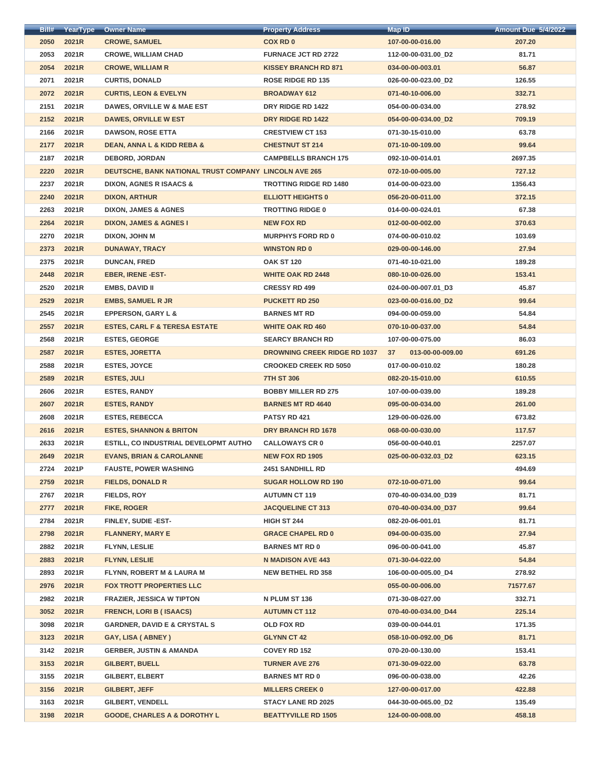| Bill# | YearType | <b>Owner Name</b>                                     | <b>Property Address</b>             | <b>Map ID</b>                       | <b>Amount Due 5/4/2022</b> |
|-------|----------|-------------------------------------------------------|-------------------------------------|-------------------------------------|----------------------------|
| 2050  | 2021R    | <b>CROWE, SAMUEL</b>                                  | <b>COX RD 0</b>                     | 107-00-00-016.00                    | 207.20                     |
| 2053  | 2021R    | <b>CROWE, WILLIAM CHAD</b>                            | <b>FURNACE JCT RD 2722</b>          | 112-00-00-031.00_D2                 | 81.71                      |
| 2054  | 2021R    | <b>CROWE, WILLIAM R</b>                               | <b>KISSEY BRANCH RD 871</b>         | 034-00-00-003.01                    | 56.87                      |
| 2071  | 2021R    | <b>CURTIS, DONALD</b>                                 | <b>ROSE RIDGE RD 135</b>            | 026-00-00-023.00_D2                 | 126.55                     |
| 2072  | 2021R    | <b>CURTIS, LEON &amp; EVELYN</b>                      | <b>BROADWAY 612</b>                 | 071-40-10-006.00                    | 332.71                     |
| 2151  | 2021R    | DAWES, ORVILLE W & MAE EST                            | DRY RIDGE RD 1422                   | 054-00-00-034.00                    | 278.92                     |
| 2152  | 2021R    | <b>DAWES, ORVILLE W EST</b>                           | DRY RIDGE RD 1422                   | 054-00-00-034.00 D2                 | 709.19                     |
| 2166  | 2021R    | <b>DAWSON, ROSE ETTA</b>                              | <b>CRESTVIEW CT 153</b>             | 071-30-15-010.00                    | 63.78                      |
| 2177  | 2021R    | <b>DEAN, ANNA L &amp; KIDD REBA &amp;</b>             | <b>CHESTNUT ST 214</b>              | 071-10-00-109.00                    | 99.64                      |
| 2187  | 2021R    | <b>DEBORD, JORDAN</b>                                 | <b>CAMPBELLS BRANCH 175</b>         | 092-10-00-014.01                    | 2697.35                    |
| 2220  | 2021R    | DEUTSCHE, BANK NATIONAL TRUST COMPANY LINCOLN AVE 265 |                                     | 072-10-00-005.00                    | 727.12                     |
| 2237  | 2021R    | <b>DIXON, AGNES R ISAACS &amp;</b>                    | <b>TROTTING RIDGE RD 1480</b>       | 014-00-00-023.00                    | 1356.43                    |
| 2240  | 2021R    | <b>DIXON, ARTHUR</b>                                  | <b>ELLIOTT HEIGHTS 0</b>            | 056-20-00-011.00                    | 372.15                     |
| 2263  | 2021R    | <b>DIXON, JAMES &amp; AGNES</b>                       | <b>TROTTING RIDGE 0</b>             | 014-00-00-024.01                    | 67.38                      |
| 2264  | 2021R    | <b>DIXON, JAMES &amp; AGNES I</b>                     | <b>NEW FOX RD</b>                   | 012-00-00-002.00                    | 370.63                     |
| 2270  | 2021R    | <b>DIXON, JOHN M</b>                                  | <b>MURPHYS FORD RD 0</b>            | 074-00-00-010.02                    | 103.69                     |
| 2373  | 2021R    | <b>DUNAWAY, TRACY</b>                                 | <b>WINSTON RD 0</b>                 | 029-00-00-146.00                    | 27.94                      |
| 2375  | 2021R    | <b>DUNCAN, FRED</b>                                   | <b>OAK ST 120</b>                   | 071-40-10-021.00                    | 189.28                     |
| 2448  | 2021R    | <b>EBER, IRENE -EST-</b>                              | <b>WHITE OAK RD 2448</b>            | 080-10-00-026.00                    | 153.41                     |
| 2520  | 2021R    | <b>EMBS, DAVID II</b>                                 | <b>CRESSY RD 499</b>                | 024-00-00-007.01_D3                 | 45.87                      |
| 2529  | 2021R    | <b>EMBS, SAMUEL R JR</b>                              | <b>PUCKETT RD 250</b>               | 023-00-00-016.00_D2                 | 99.64                      |
| 2545  | 2021R    | <b>EPPERSON, GARY L &amp;</b>                         | <b>BARNES MT RD</b>                 | 094-00-00-059.00                    | 54.84                      |
| 2557  | 2021R    | <b>ESTES, CARL F &amp; TERESA ESTATE</b>              | <b>WHITE OAK RD 460</b>             | 070-10-00-037.00                    | 54.84                      |
| 2568  | 2021R    | <b>ESTES, GEORGE</b>                                  | <b>SEARCY BRANCH RD</b>             | 107-00-00-075.00                    | 86.03                      |
| 2587  | 2021R    | <b>ESTES, JORETTA</b>                                 | <b>DROWNING CREEK RIDGE RD 1037</b> | 37 <sup>2</sup><br>013-00-00-009.00 | 691.26                     |
| 2588  | 2021R    | <b>ESTES, JOYCE</b>                                   | <b>CROOKED CREEK RD 5050</b>        | 017-00-00-010.02                    | 180.28                     |
| 2589  | 2021R    | <b>ESTES, JULI</b>                                    | <b>7TH ST 306</b>                   | 082-20-15-010.00                    | 610.55                     |
| 2606  | 2021R    | <b>ESTES, RANDY</b>                                   | <b>BOBBY MILLER RD 275</b>          | 107-00-00-039.00                    | 189.28                     |
| 2607  | 2021R    | <b>ESTES, RANDY</b>                                   | <b>BARNES MT RD 4640</b>            | 095-00-00-034.00                    | 261.00                     |
| 2608  | 2021R    | <b>ESTES, REBECCA</b>                                 | PATSY RD 421                        | 129-00-00-026.00                    | 673.82                     |
| 2616  | 2021R    | <b>ESTES, SHANNON &amp; BRITON</b>                    | DRY BRANCH RD 1678                  | 068-00-00-030.00                    | 117.57                     |
| 2633  | 2021R    | <b>ESTILL, CO INDUSTRIAL DEVELOPMT AUTHO</b>          | <b>CALLOWAYS CR 0</b>               | 056-00-00-040.01                    | 2257.07                    |
| 2649  | 2021R    | <b>EVANS, BRIAN &amp; CAROLANNE</b>                   | <b>NEW FOX RD 1905</b>              | 025-00-00-032.03_D2                 | 623.15                     |
| 2724  | 2021P    | <b>FAUSTE, POWER WASHING</b>                          | <b>2451 SANDHILL RD</b>             |                                     | 494.69                     |
| 2759  | 2021R    | <b>FIELDS, DONALD R</b>                               | <b>SUGAR HOLLOW RD 190</b>          | 072-10-00-071.00                    | 99.64                      |
| 2767  | 2021R    | <b>FIELDS, ROY</b>                                    | <b>AUTUMN CT 119</b>                | 070-40-00-034.00_D39                | 81.71                      |
| 2777  | 2021R    | <b>FIKE, ROGER</b>                                    | <b>JACQUELINE CT 313</b>            | 070-40-00-034.00_D37                | 99.64                      |
| 2784  | 2021R    | <b>FINLEY, SUDIE -EST-</b>                            | <b>HIGH ST 244</b>                  | 082-20-06-001.01                    | 81.71                      |
| 2798  | 2021R    | <b>FLANNERY, MARY E</b>                               | <b>GRACE CHAPEL RD 0</b>            | 094-00-00-035.00                    | 27.94                      |
| 2882  | 2021R    | <b>FLYNN, LESLIE</b>                                  | <b>BARNES MT RD 0</b>               | 096-00-00-041.00                    | 45.87                      |
| 2883  | 2021R    | <b>FLYNN, LESLIE</b>                                  | <b>N MADISON AVE 443</b>            | 071-30-04-022.00                    | 54.84                      |
| 2893  | 2021R    | <b>FLYNN, ROBERT M &amp; LAURA M</b>                  | <b>NEW BETHEL RD 358</b>            | 106-00-00-005.00 D4                 | 278.92                     |
| 2976  | 2021R    | <b>FOX TROTT PROPERTIES LLC</b>                       |                                     | 055-00-00-006.00                    | 71577.67                   |
| 2982  | 2021R    | <b>FRAZIER, JESSICA W TIPTON</b>                      | N PLUM ST 136                       | 071-30-08-027.00                    | 332.71                     |
| 3052  | 2021R    | <b>FRENCH, LORI B (ISAACS)</b>                        | <b>AUTUMN CT 112</b>                | 070-40-00-034.00_D44                | 225.14                     |
| 3098  | 2021R    | <b>GARDNER, DAVID E &amp; CRYSTAL S</b>               | <b>OLD FOX RD</b>                   | 039-00-00-044.01                    | 171.35                     |
| 3123  | 2021R    | GAY, LISA (ABNEY)                                     | <b>GLYNN CT 42</b>                  | 058-10-00-092.00 D6                 | 81.71                      |
| 3142  | 2021R    | <b>GERBER, JUSTIN &amp; AMANDA</b>                    | <b>COVEY RD 152</b>                 | 070-20-00-130.00                    | 153.41                     |
| 3153  | 2021R    | <b>GILBERT, BUELL</b>                                 | <b>TURNER AVE 276</b>               | 071-30-09-022.00                    | 63.78                      |
| 3155  | 2021R    | <b>GILBERT, ELBERT</b>                                | <b>BARNES MT RD 0</b>               | 096-00-00-038.00                    | 42.26                      |
| 3156  | 2021R    | <b>GILBERT, JEFF</b>                                  | <b>MILLERS CREEK 0</b>              | 127-00-00-017.00                    | 422.88                     |
| 3163  | 2021R    | <b>GILBERT, VENDELL</b>                               | <b>STACY LANE RD 2025</b>           | 044-30-00-065.00_D2                 | 135.49                     |
| 3198  | 2021R    | <b>GOODE, CHARLES A &amp; DOROTHY L</b>               | <b>BEATTYVILLE RD 1505</b>          | 124-00-00-008.00                    | 458.18                     |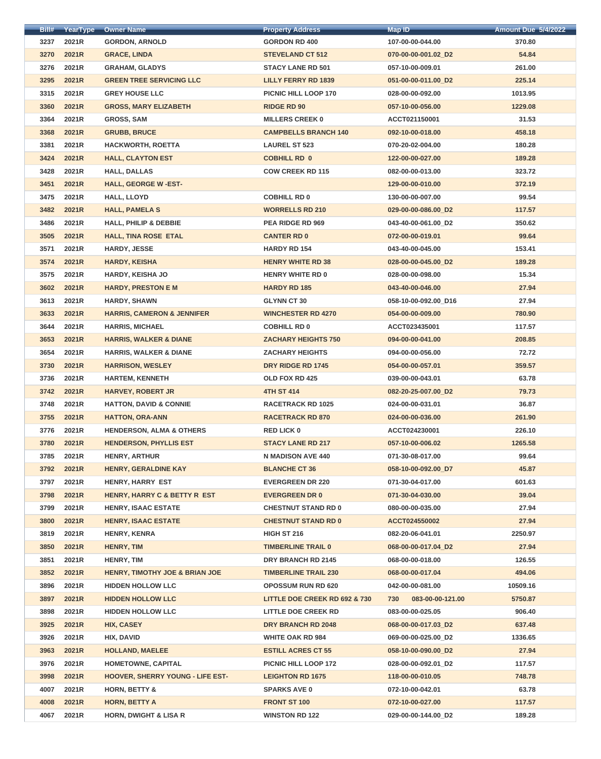| <u>BIII#</u> | YearType     | <b>Owner Name</b>                         | <b>Property Address</b>                  | Map ID <sup>.</sup>     | <b>Amount Due 5/4/2022</b> |
|--------------|--------------|-------------------------------------------|------------------------------------------|-------------------------|----------------------------|
| 3237         | 2021R        | <b>GORDON, ARNOLD</b>                     | <b>GORDON RD 400</b>                     | 107-00-00-044.00        | 370.80                     |
| 3270         | 2021R        | <b>GRACE, LINDA</b>                       | <b>STEVELAND CT 512</b>                  | 070-00-00-001.02_D2     | 54.84                      |
| 3276         | 2021R        | <b>GRAHAM, GLADYS</b>                     | <b>STACY LANE RD 501</b>                 | 057-10-00-009.01        | 261.00                     |
| 3295         | 2021R        | <b>GREEN TREE SERVICING LLC</b>           | <b>LILLY FERRY RD 1839</b>               | 051-00-00-011.00_D2     | 225.14                     |
| 3315         | 2021R        | <b>GREY HOUSE LLC</b>                     | PICNIC HILL LOOP 170                     | 028-00-00-092.00        | 1013.95                    |
| 3360         | 2021R        | <b>GROSS, MARY ELIZABETH</b>              | <b>RIDGE RD 90</b>                       | 057-10-00-056.00        | 1229.08                    |
| 3364         | 2021R        | <b>GROSS, SAM</b>                         | <b>MILLERS CREEK 0</b>                   | ACCT021150001           | 31.53                      |
| 3368         | 2021R        | <b>GRUBB, BRUCE</b>                       | <b>CAMPBELLS BRANCH 140</b>              | 092-10-00-018.00        | 458.18                     |
| 3381         | 2021R        | <b>HACKWORTH, ROETTA</b>                  | <b>LAUREL ST 523</b>                     | 070-20-02-004.00        | 180.28                     |
| 3424         | 2021R        | <b>HALL, CLAYTON EST</b>                  | <b>COBHILL RD 0</b>                      | 122-00-00-027.00        | 189.28                     |
| 3428         | 2021R        | <b>HALL, DALLAS</b>                       | <b>COW CREEK RD 115</b>                  | 082-00-00-013.00        | 323.72                     |
| 3451         | 2021R        | <b>HALL, GEORGE W-EST-</b>                |                                          | 129-00-00-010.00        | 372.19                     |
| 3475         | 2021R        | <b>HALL, LLOYD</b>                        | <b>COBHILL RD 0</b>                      | 130-00-00-007.00        | 99.54                      |
| 3482         | 2021R        | <b>HALL, PAMELA S</b>                     | <b>WORRELLS RD 210</b>                   | 029-00-00-086.00 D2     | 117.57                     |
| 3486         | 2021R        | <b>HALL, PHILIP &amp; DEBBIE</b>          | <b>PEA RIDGE RD 969</b>                  | 043-40-00-061.00_D2     | 350.62                     |
| 3505         | 2021R        | <b>HALL, TINA ROSE ETAL</b>               | <b>CANTER RD 0</b>                       | 072-00-00-019.01        | 99.64                      |
| 3571         | 2021R        | <b>HARDY, JESSE</b>                       | <b>HARDY RD 154</b>                      | 043-40-00-045.00        | 153.41                     |
| 3574         | 2021R        | <b>HARDY, KEISHA</b>                      | <b>HENRY WHITE RD 38</b>                 | 028-00-00-045.00 D2     | 189.28                     |
| 3575         | 2021R        | <b>HARDY, KEISHA JO</b>                   | <b>HENRY WHITE RD 0</b>                  | 028-00-00-098.00        | 15.34                      |
| 3602         | 2021R        | <b>HARDY, PRESTON E M</b>                 | <b>HARDY RD 185</b>                      | 043-40-00-046.00        | 27.94                      |
| 3613         | 2021R        | <b>HARDY, SHAWN</b>                       | <b>GLYNN CT 30</b>                       | 058-10-00-092.00_D16    | 27.94                      |
| 3633         | 2021R        | <b>HARRIS, CAMERON &amp; JENNIFER</b>     | <b>WINCHESTER RD 4270</b>                | 054-00-00-009.00        | 780.90                     |
| 3644         | 2021R        | <b>HARRIS, MICHAEL</b>                    | <b>COBHILL RD 0</b>                      | ACCT023435001           | 117.57                     |
| 3653         | 2021R        | <b>HARRIS, WALKER &amp; DIANE</b>         | <b>ZACHARY HEIGHTS 750</b>               | 094-00-00-041.00        | 208.85                     |
| 3654         | 2021R        | <b>HARRIS, WALKER &amp; DIANE</b>         | <b>ZACHARY HEIGHTS</b>                   | 094-00-00-056.00        | 72.72                      |
| 3730         | 2021R        | <b>HARRISON, WESLEY</b>                   | <b>DRY RIDGE RD 1745</b>                 | 054-00-00-057.01        | 359.57                     |
| 3736         | 2021R        | <b>HARTEM, KENNETH</b>                    | <b>OLD FOX RD 425</b>                    | 039-00-00-043.01        | 63.78                      |
| 3742         | 2021R        | <b>HARVEY, ROBERT JR</b>                  | <b>4TH ST 414</b>                        | 082-20-25-007.00 D2     | 79.73                      |
| 3748         | 2021R        | <b>HATTON, DAVID &amp; CONNIE</b>         | <b>RACETRACK RD 1025</b>                 | 024-00-00-031.01        | 36.87                      |
| 3755         | 2021R        | <b>HATTON, ORA-ANN</b>                    | <b>RACETRACK RD 870</b>                  | 024-00-00-036.00        | 261.90                     |
| 3776         | 2021R        | <b>HENDERSON, ALMA &amp; OTHERS</b>       | <b>RED LICK 0</b>                        | ACCT024230001           | 226.10                     |
| 3780         | 2021R        | <b>HENDERSON, PHYLLIS EST</b>             | <b>STACY LANE RD 217</b>                 | 057-10-00-006.02        | 1265.58                    |
| 3785         | 2021R        | <b>HENRY, ARTHUR</b>                      | <b>N MADISON AVE 440</b>                 | 071-30-08-017.00        | 99.64                      |
| 3792         | 2021R        | HENRY, GERALDINE KAY                      | <b>BLANCHE CT 36</b>                     | 058-10-00-092.00_D7     | 45.87                      |
| 3797         | 2021R        | <b>HENRY, HARRY EST</b>                   | <b>EVERGREEN DR 220</b>                  | 071-30-04-017.00        | 601.63                     |
| 3798         | 2021R        | HENRY, HARRY C & BETTY R EST              | <b>EVERGREEN DR 0</b>                    | 071-30-04-030.00        | 39.04                      |
| 3799         | 2021R        | <b>HENRY, ISAAC ESTATE</b>                | <b>CHESTNUT STAND RD 0</b>               | 080-00-00-035.00        | 27.94                      |
| 3800         | 2021R        | <b>HENRY, ISAAC ESTATE</b>                | <b>CHESTNUT STAND RD 0</b>               | ACCT024550002           | 27.94                      |
| 3819         | 2021R        | <b>HENRY, KENRA</b>                       | <b>HIGH ST 216</b>                       | 082-20-06-041.01        | 2250.97                    |
| 3850         | 2021R        | <b>HENRY, TIM</b>                         | <b>TIMBERLINE TRAIL 0</b>                | 068-00-00-017.04_D2     | 27.94                      |
| 3851         | 2021R        | HENRY, TIM                                | DRY BRANCH RD 2145                       | 068-00-00-018.00        | 126.55                     |
| 3852         | 2021R        | <b>HENRY, TIMOTHY JOE &amp; BRIAN JOE</b> | <b>TIMBERLINE TRAIL 230</b>              | 068-00-00-017.04        | 494.06                     |
| 3896         | 2021R        | <b>HIDDEN HOLLOW LLC</b>                  | <b>OPOSSUM RUN RD 620</b>                | 042-00-00-081.00        | 10509.16                   |
| 3897         | 2021R        | <b>HIDDEN HOLLOW LLC</b>                  | <b>LITTLE DOE CREEK RD 692 &amp; 730</b> | 730<br>083-00-00-121.00 | 5750.87                    |
| 3898         | 2021R        | <b>HIDDEN HOLLOW LLC</b>                  | <b>LITTLE DOE CREEK RD</b>               | 083-00-00-025.05        | 906.40                     |
| 3925         | <b>2021R</b> | <b>HIX, CASEY</b>                         | DRY BRANCH RD 2048                       | 068-00-00-017.03_D2     | 637.48                     |
| 3926         | 2021R        | HIX, DAVID                                | <b>WHITE OAK RD 984</b>                  | 069-00-00-025.00 D2     | 1336.65                    |
| 3963         | 2021R        | <b>HOLLAND, MAELEE</b>                    | <b>ESTILL ACRES CT 55</b>                | 058-10-00-090.00 D2     | 27.94                      |
| 3976         | 2021R        | HOMETOWNE, CAPITAL                        | <b>PICNIC HILL LOOP 172</b>              | 028-00-00-092.01_D2     | 117.57                     |
| 3998         | 2021R        | <b>HOOVER, SHERRY YOUNG - LIFE EST-</b>   | <b>LEIGHTON RD 1675</b>                  | 118-00-00-010.05        | 748.78                     |
| 4007         | 2021R        | <b>HORN, BETTY &amp;</b>                  | <b>SPARKS AVE 0</b>                      | 072-10-00-042.01        | 63.78                      |
| 4008         | 2021R        | <b>HORN, BETTY A</b>                      | <b>FRONT ST 100</b>                      | 072-10-00-027.00        | 117.57                     |
| 4067         | 2021R        | <b>HORN, DWIGHT &amp; LISA R</b>          | <b>WINSTON RD 122</b>                    | 029-00-00-144.00_D2     | 189.28                     |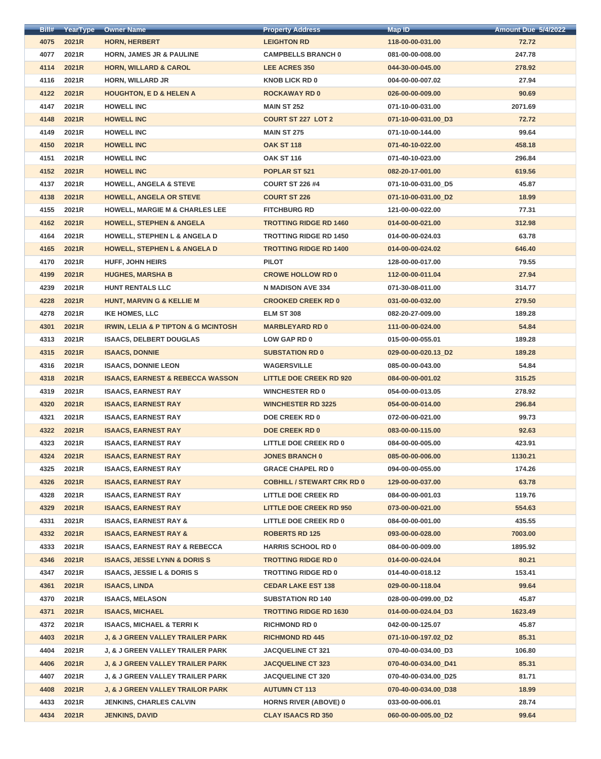| Bill# | YearType | <b>Owner Name</b>                                   | <b>Property Address</b>           | <b>Map ID</b>        | <b>Amount Due 5/4/2022</b> |
|-------|----------|-----------------------------------------------------|-----------------------------------|----------------------|----------------------------|
| 4075  | 2021R    | <b>HORN, HERBERT</b>                                | <b>LEIGHTON RD</b>                | 118-00-00-031.00     | 72.72                      |
| 4077  | 2021R    | <b>HORN, JAMES JR &amp; PAULINE</b>                 | <b>CAMPBELLS BRANCH 0</b>         | 081-00-00-008.00     | 247.78                     |
| 4114  | 2021R    | <b>HORN, WILLARD &amp; CAROL</b>                    | <b>LEE ACRES 350</b>              | 044-30-00-045.00     | 278.92                     |
| 4116  | 2021R    | <b>HORN, WILLARD JR</b>                             | <b>KNOB LICK RD 0</b>             | 004-00-00-007.02     | 27.94                      |
| 4122  | 2021R    | <b>HOUGHTON, E D &amp; HELEN A</b>                  | <b>ROCKAWAY RD 0</b>              | 026-00-00-009.00     | 90.69                      |
| 4147  | 2021R    | <b>HOWELL INC</b>                                   | <b>MAIN ST 252</b>                | 071-10-00-031.00     | 2071.69                    |
| 4148  | 2021R    | <b>HOWELL INC</b>                                   | <b>COURT ST 227 LOT 2</b>         | 071-10-00-031.00_D3  | 72.72                      |
| 4149  | 2021R    | <b>HOWELL INC</b>                                   | <b>MAIN ST 275</b>                | 071-10-00-144.00     | 99.64                      |
| 4150  | 2021R    | <b>HOWELL INC</b>                                   | <b>OAK ST 118</b>                 | 071-40-10-022.00     | 458.18                     |
| 4151  | 2021R    | <b>HOWELL INC</b>                                   | <b>OAK ST 116</b>                 | 071-40-10-023.00     | 296.84                     |
| 4152  | 2021R    | <b>HOWELL INC</b>                                   | POPLAR ST 521                     | 082-20-17-001.00     | 619.56                     |
| 4137  | 2021R    | <b>HOWELL, ANGELA &amp; STEVE</b>                   | <b>COURT ST 226 #4</b>            | 071-10-00-031.00_D5  | 45.87                      |
| 4138  | 2021R    | <b>HOWELL, ANGELA OR STEVE</b>                      | <b>COURT ST 226</b>               | 071-10-00-031.00_D2  | 18.99                      |
| 4155  | 2021R    | <b>HOWELL, MARGIE M &amp; CHARLES LEE</b>           | <b>FITCHBURG RD</b>               | 121-00-00-022.00     | 77.31                      |
| 4162  | 2021R    | <b>HOWELL, STEPHEN &amp; ANGELA</b>                 | <b>TROTTING RIDGE RD 1460</b>     | 014-00-00-021.00     | 312.98                     |
| 4164  | 2021R    | <b>HOWELL, STEPHEN L &amp; ANGELA D</b>             | <b>TROTTING RIDGE RD 1450</b>     | 014-00-00-024.03     | 63.78                      |
| 4165  | 2021R    | <b>HOWELL, STEPHEN L &amp; ANGELA D</b>             | <b>TROTTING RIDGE RD 1400</b>     | 014-00-00-024.02     | 646.40                     |
| 4170  | 2021R    | <b>HUFF, JOHN HEIRS</b>                             | <b>PILOT</b>                      | 128-00-00-017.00     | 79.55                      |
| 4199  | 2021R    | <b>HUGHES, MARSHA B</b>                             | <b>CROWE HOLLOW RD 0</b>          | 112-00-00-011.04     | 27.94                      |
| 4239  | 2021R    | <b>HUNT RENTALS LLC</b>                             | <b>N MADISON AVE 334</b>          | 071-30-08-011.00     | 314.77                     |
| 4228  | 2021R    | <b>HUNT, MARVIN G &amp; KELLIE M</b>                | <b>CROOKED CREEK RD 0</b>         | 031-00-00-032.00     | 279.50                     |
| 4278  | 2021R    | <b>IKE HOMES, LLC</b>                               | <b>ELM ST 308</b>                 | 082-20-27-009.00     | 189.28                     |
| 4301  | 2021R    | <b>IRWIN, LELIA &amp; P TIPTON &amp; G MCINTOSH</b> | <b>MARBLEYARD RD 0</b>            | 111-00-00-024.00     | 54.84                      |
| 4313  | 2021R    | <b>ISAACS, DELBERT DOUGLAS</b>                      | <b>LOW GAP RD 0</b>               | 015-00-00-055.01     | 189.28                     |
| 4315  | 2021R    | <b>ISAACS, DONNIE</b>                               | <b>SUBSTATION RD 0</b>            | 029-00-00-020.13_D2  | 189.28                     |
| 4316  | 2021R    | <b>ISAACS, DONNIE LEON</b>                          | <b>WAGERSVILLE</b>                | 085-00-00-043.00     | 54.84                      |
| 4318  | 2021R    | <b>ISAACS, EARNEST &amp; REBECCA WASSON</b>         | <b>LITTLE DOE CREEK RD 920</b>    | 084-00-00-001.02     | 315.25                     |
| 4319  | 2021R    | <b>ISAACS, EARNEST RAY</b>                          | <b>WINCHESTER RD 0</b>            | 054-00-00-013.05     | 278.92                     |
| 4320  | 2021R    | <b>ISAACS, EARNEST RAY</b>                          | <b>WINCHESTER RD 3225</b>         | 054-00-00-014.00     | 296.84                     |
| 4321  | 2021R    | <b>ISAACS, EARNEST RAY</b>                          | <b>DOE CREEK RD 0</b>             | 072-00-00-021.00     | 99.73                      |
| 4322  | 2021R    | <b>ISAACS, EARNEST RAY</b>                          | <b>DOE CREEK RD 0</b>             | 083-00-00-115.00     | 92.63                      |
| 4323  | 2021R    | <b>ISAACS, EARNEST RAY</b>                          | <b>LITTLE DOE CREEK RD 0</b>      | 084-00-00-005.00     | 423.91                     |
| 4324  | 2021R    | <b>ISAACS, EARNEST RAY</b>                          | <b>JONES BRANCH 0</b>             | 085-00-00-006.00     | 1130.21                    |
| 4325  | 2021R    | <b>ISAACS, EARNEST RAY</b>                          | <b>GRACE CHAPEL RD 0</b>          | 094-00-00-055.00     | 174.26                     |
| 4326  | 2021R    | <b>ISAACS, EARNEST RAY</b>                          | <b>COBHILL / STEWART CRK RD 0</b> | 129-00-00-037.00     | 63.78                      |
| 4328  | 2021R    | <b>ISAACS, EARNEST RAY</b>                          | <b>LITTLE DOE CREEK RD</b>        | 084-00-00-001.03     | 119.76                     |
| 4329  | 2021R    | <b>ISAACS, EARNEST RAY</b>                          | <b>LITTLE DOE CREEK RD 950</b>    | 073-00-00-021.00     | 554.63                     |
| 4331  | 2021R    | <b>ISAACS, EARNEST RAY &amp;</b>                    | <b>LITTLE DOE CREEK RD 0</b>      | 084-00-00-001.00     | 435.55                     |
| 4332  | 2021R    | <b>ISAACS, EARNEST RAY &amp;</b>                    | <b>ROBERTS RD 125</b>             | 093-00-00-028.00     | 7003.00                    |
| 4333  | 2021R    | <b>ISAACS, EARNEST RAY &amp; REBECCA</b>            | <b>HARRIS SCHOOL RD 0</b>         | 084-00-00-009.00     | 1895.92                    |
| 4346  | 2021R    | <b>ISAACS, JESSE LYNN &amp; DORIS S</b>             | <b>TROTTING RIDGE RD 0</b>        | 014-00-00-024.04     | 80.21                      |
| 4347  | 2021R    | <b>ISAACS, JESSIE L &amp; DORIS S</b>               | <b>TROTTING RIDGE RD 0</b>        | 014-40-00-018.12     | 153.41                     |
| 4361  | 2021R    | <b>ISAACS, LINDA</b>                                | <b>CEDAR LAKE EST 138</b>         | 029-00-00-118.04     | 99.64                      |
| 4370  | 2021R    | <b>ISAACS, MELASON</b>                              | <b>SUBSTATION RD 140</b>          | 028-00-00-099.00_D2  | 45.87                      |
| 4371  | 2021R    | <b>ISAACS, MICHAEL</b>                              | <b>TROTTING RIDGE RD 1630</b>     | 014-00-00-024.04_D3  | 1623.49                    |
| 4372  | 2021R    | <b>ISAACS, MICHAEL &amp; TERRIK</b>                 | <b>RICHMOND RD 0</b>              | 042-00-00-125.07     | 45.87                      |
| 4403  | 2021R    | <b>J, &amp; J GREEN VALLEY TRAILER PARK</b>         | <b>RICHMOND RD 445</b>            | 071-10-00-197.02_D2  | 85.31                      |
| 4404  | 2021R    | <b>J, &amp; J GREEN VALLEY TRAILER PARK</b>         | <b>JACQUELINE CT 321</b>          | 070-40-00-034.00_D3  | 106.80                     |
| 4406  | 2021R    | J, & J GREEN VALLEY TRAILER PARK                    | <b>JACQUELINE CT 323</b>          | 070-40-00-034.00 D41 | 85.31                      |
| 4407  | 2021R    | <b>J, &amp; J GREEN VALLEY TRAILER PARK</b>         | <b>JACQUELINE CT 320</b>          | 070-40-00-034.00_D25 | 81.71                      |
| 4408  | 2021R    | <b>J, &amp; J GREEN VALLEY TRAILOR PARK</b>         | <b>AUTUMN CT 113</b>              | 070-40-00-034.00_D38 | 18.99                      |
| 4433  | 2021R    | <b>JENKINS, CHARLES CALVIN</b>                      | <b>HORNS RIVER (ABOVE) 0</b>      | 033-00-00-006.01     | 28.74                      |
| 4434  | 2021R    | <b>JENKINS, DAVID</b>                               | <b>CLAY ISAACS RD 350</b>         | 060-00-00-005.00_D2  | 99.64                      |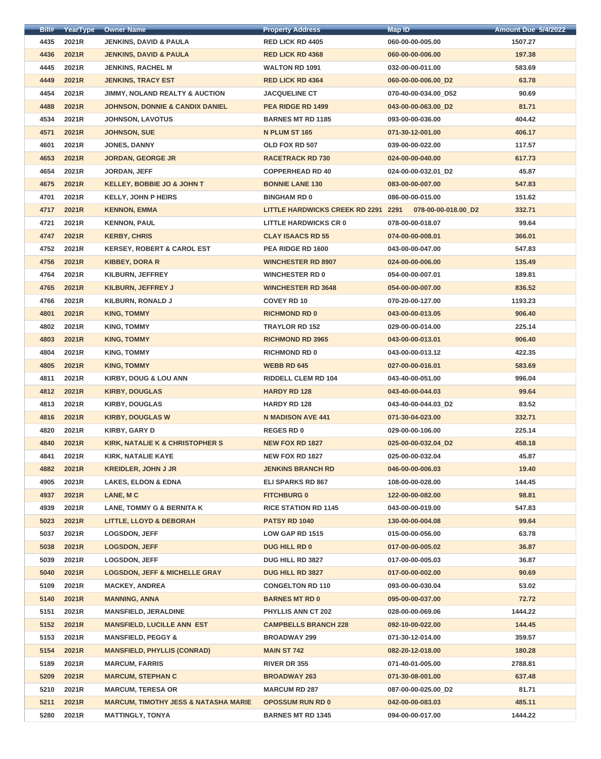| <b>BIII#</b> | <b>YearType</b> | <b>Owner Name</b>                               | <b>Property Address</b>             | Map ID               | <u>Amount Due 5/4/2022</u> |
|--------------|-----------------|-------------------------------------------------|-------------------------------------|----------------------|----------------------------|
| 4435         | 2021R           | <b>JENKINS, DAVID &amp; PAULA</b>               | <b>RED LICK RD 4405</b>             | 060-00-00-005.00     | 1507.27                    |
| 4436         | 2021R           | <b>JENKINS, DAVID &amp; PAULA</b>               | <b>RED LICK RD 4368</b>             | 060-00-00-006.00     | 197.38                     |
| 4445         | 2021R           | <b>JENKINS, RACHEL M</b>                        | <b>WALTON RD 1091</b>               | 032-00-00-011.00     | 583.69                     |
| 4449         | 2021R           | <b>JENKINS, TRACY EST</b>                       | <b>RED LICK RD 4364</b>             | 060-00-00-006.00_D2  | 63.78                      |
| 4454         | 2021R           | <b>JIMMY, NOLAND REALTY &amp; AUCTION</b>       | <b>JACQUELINE CT</b>                | 070-40-00-034.00_D52 | 90.69                      |
| 4488         | 2021R           | <b>JOHNSON, DONNIE &amp; CANDIX DANIEL</b>      | PEA RIDGE RD 1499                   | 043-00-00-063.00_D2  | 81.71                      |
| 4534         | 2021R           | <b>JOHNSON, LAVOTUS</b>                         | <b>BARNES MT RD 1185</b>            | 093-00-00-036.00     | 404.42                     |
| 4571         | 2021R           | <b>JOHNSON, SUE</b>                             | N PLUM ST 165                       | 071-30-12-001.00     | 406.17                     |
| 4601         | 2021R           | <b>JONES, DANNY</b>                             | OLD FOX RD 507                      | 039-00-00-022.00     | 117.57                     |
| 4653         | 2021R           | <b>JORDAN, GEORGE JR</b>                        | <b>RACETRACK RD 730</b>             | 024-00-00-040.00     | 617.73                     |
| 4654         | 2021R           | <b>JORDAN, JEFF</b>                             | <b>COPPERHEAD RD 40</b>             | 024-00-00-032.01_D2  | 45.87                      |
| 4675         | 2021R           | <b>KELLEY, BOBBIE JO &amp; JOHN T</b>           | <b>BONNIE LANE 130</b>              | 083-00-00-007.00     | 547.83                     |
| 4701         | 2021R           | <b>KELLY, JOHN P HEIRS</b>                      | <b>BINGHAM RD 0</b>                 | 086-00-00-015.00     | 151.62                     |
| 4717         | 2021R           | <b>KENNON, EMMA</b>                             | LITTLE HARDWICKS CREEK RD 2291 2291 | 078-00-00-018.00_D2  | 332.71                     |
| 4721         | 2021R           | <b>KENNON, PAUL</b>                             | <b>LITTLE HARDWICKS CR 0</b>        | 078-00-00-018.07     | 99.64                      |
| 4747         | 2021R           | <b>KERBY, CHRIS</b>                             | <b>CLAY ISAACS RD 55</b>            | 074-00-00-008.01     | 366.01                     |
| 4752         | 2021R           | <b>KERSEY, ROBERT &amp; CAROL EST</b>           | PEA RIDGE RD 1600                   | 043-00-00-047.00     | 547.83                     |
| 4756         | 2021R           | <b>KIBBEY, DORA R</b>                           | <b>WINCHESTER RD 8907</b>           | 024-00-00-006.00     | 135.49                     |
| 4764         | 2021R           | <b>KILBURN, JEFFREY</b>                         | <b>WINCHESTER RD 0</b>              | 054-00-00-007.01     | 189.81                     |
| 4765         | 2021R           | KILBURN, JEFFREY J                              | <b>WINCHESTER RD 3648</b>           | 054-00-00-007.00     | 836.52                     |
| 4766         | 2021R           | <b>KILBURN, RONALD J</b>                        | <b>COVEY RD 10</b>                  | 070-20-00-127.00     | 1193.23                    |
| 4801         | 2021R           | <b>KING, TOMMY</b>                              | <b>RICHMOND RD 0</b>                | 043-00-00-013.05     | 906.40                     |
| 4802         | 2021R           | <b>KING, TOMMY</b>                              | <b>TRAYLOR RD 152</b>               | 029-00-00-014.00     | 225.14                     |
| 4803         | 2021R           | <b>KING, TOMMY</b>                              | <b>RICHMOND RD 3965</b>             | 043-00-00-013.01     | 906.40                     |
| 4804         | 2021R           | <b>KING, TOMMY</b>                              | <b>RICHMOND RD 0</b>                | 043-00-00-013.12     | 422.35                     |
| 4805         | 2021R           | <b>KING, TOMMY</b>                              | <b>WEBB RD 645</b>                  | 027-00-00-016.01     | 583.69                     |
| 4811         | 2021R           | <b>KIRBY, DOUG &amp; LOU ANN</b>                | <b>RIDDELL CLEM RD 104</b>          | 043-40-00-051.00     | 996.04                     |
| 4812         | 2021R           | <b>KIRBY, DOUGLAS</b>                           | <b>HARDY RD 128</b>                 | 043-40-00-044.03     | 99.64                      |
| 4813         | 2021R           | <b>KIRBY, DOUGLAS</b>                           | <b>HARDY RD 128</b>                 | 043-40-00-044.03_D2  | 83.52                      |
| 4816         | 2021R           | <b>KIRBY, DOUGLAS W</b>                         | <b>N MADISON AVE 441</b>            | 071-30-04-023.00     | 332.71                     |
| 4820         | 2021R           | <b>KIRBY, GARY D</b>                            | <b>REGES RD 0</b>                   | 029-00-00-106.00     | 225.14                     |
| 4840         | 2021R           | <b>KIRK, NATALIE K &amp; CHRISTOPHER S</b>      | <b>NEW FOX RD 1827</b>              | 025-00-00-032.04_D2  | 458.18                     |
| 4841         | 2021R           | KIRK, NATALIE KAYE                              | <b>NEW FOX RD 1827</b>              | 025-00-00-032.04     | 45.87                      |
| 4882         | 2021R           | <b>KREIDLER, JOHN J JR</b>                      | <b>JENKINS BRANCH RD</b>            | 046-00-00-006.03     | 19.40                      |
| 4905         | 2021R           | <b>LAKES, ELDON &amp; EDNA</b>                  | <b>ELI SPARKS RD 867</b>            | 108-00-00-028.00     | 144.45                     |
| 4937         | 2021R           | LANE, MC                                        | <b>FITCHBURG 0</b>                  | 122-00-00-082.00     | 98.81                      |
| 4939         | 2021R           | <b>LANE, TOMMY G &amp; BERNITA K</b>            | <b>RICE STATION RD 1145</b>         | 043-00-00-019.00     | 547.83                     |
| 5023         | 2021R           | <b>LITTLE, LLOYD &amp; DEBORAH</b>              | <b>PATSY RD 1040</b>                | 130-00-00-004.08     | 99.64                      |
| 5037         | 2021R           | <b>LOGSDON, JEFF</b>                            | LOW GAP RD 1515                     | 015-00-00-056.00     | 63.78                      |
| 5038         | 2021R           | <b>LOGSDON, JEFF</b>                            | <b>DUG HILL RD 0</b>                | 017-00-00-005.02     | 36.87                      |
| 5039         | 2021R           | <b>LOGSDON, JEFF</b>                            | <b>DUG HILL RD 3827</b>             | 017-00-00-005.03     | 36.87                      |
| 5040         | 2021R           | <b>LOGSDON, JEFF &amp; MICHELLE GRAY</b>        | <b>DUG HILL RD 3827</b>             | 017-00-00-002.00     | 90.69                      |
| 5109         | 2021R           | <b>MACKEY, ANDREA</b>                           | <b>CONGELTON RD 110</b>             | 093-00-00-030.04     | 53.02                      |
| 5140         | 2021R           | <b>MANNING, ANNA</b>                            | <b>BARNES MT RD 0</b>               | 095-00-00-037.00     | 72.72                      |
| 5151         | 2021R           | <b>MANSFIELD, JERALDINE</b>                     | <b>PHYLLIS ANN CT 202</b>           | 028-00-00-069.06     | 1444.22                    |
| 5152         | 2021R           | <b>MANSFIELD, LUCILLE ANN EST</b>               | <b>CAMPBELLS BRANCH 228</b>         | 092-10-00-022.00     | 144.45                     |
| 5153         | 2021R           | <b>MANSFIELD, PEGGY &amp;</b>                   | <b>BROADWAY 299</b>                 | 071-30-12-014.00     | 359.57                     |
| 5154         | 2021R           | <b>MANSFIELD, PHYLLIS (CONRAD)</b>              | <b>MAIN ST 742</b>                  | 082-20-12-018.00     | 180.28                     |
| 5189         | 2021R           | <b>MARCUM, FARRIS</b>                           | <b>RIVER DR 355</b>                 | 071-40-01-005.00     | 2788.81                    |
| 5209         | 2021R           | <b>MARCUM, STEPHAN C</b>                        | <b>BROADWAY 263</b>                 | 071-30-08-001.00     | 637.48                     |
| 5210         | 2021R           | <b>MARCUM, TERESA OR</b>                        | <b>MARCUM RD 287</b>                | 087-00-00-025.00 D2  | 81.71                      |
| 5211         | 2021R           | <b>MARCUM, TIMOTHY JESS &amp; NATASHA MARIE</b> | <b>OPOSSUM RUN RD 0</b>             | 042-00-00-083.03     | 485.11                     |
| 5280         | 2021R           | <b>MATTINGLY, TONYA</b>                         | <b>BARNES MT RD 1345</b>            | 094-00-00-017.00     | 1444.22                    |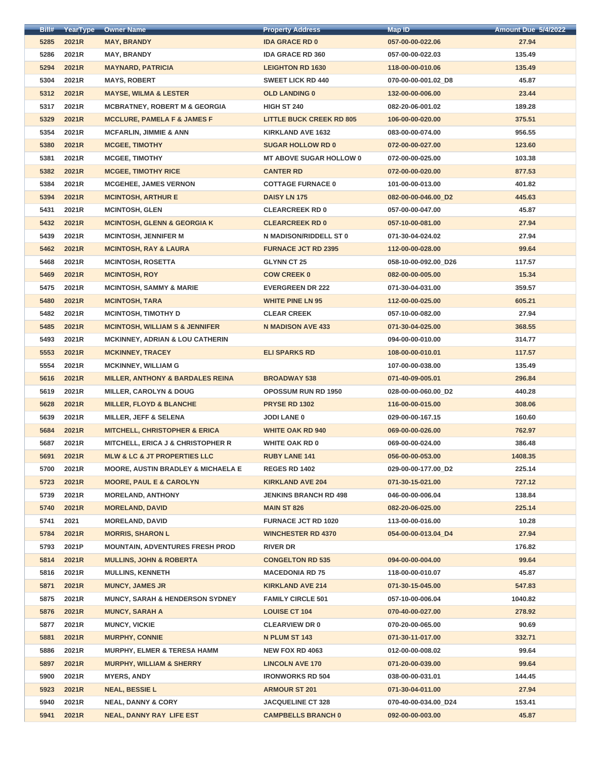| Bill# | YearType | <b>Owner Name</b>                             | <b>Property Address</b>         | <b>Map ID</b>        | <b>Amount Due 5/4/2022</b> |
|-------|----------|-----------------------------------------------|---------------------------------|----------------------|----------------------------|
| 5285  | 2021R    | <b>MAY, BRANDY</b>                            | <b>IDA GRACE RD 0</b>           | 057-00-00-022.06     | 27.94                      |
| 5286  | 2021R    | <b>MAY, BRANDY</b>                            | <b>IDA GRACE RD 360</b>         | 057-00-00-022.03     | 135.49                     |
| 5294  | 2021R    | <b>MAYNARD, PATRICIA</b>                      | <b>LEIGHTON RD 1630</b>         | 118-00-00-010.06     | 135.49                     |
| 5304  | 2021R    | <b>MAYS, ROBERT</b>                           | <b>SWEET LICK RD 440</b>        | 070-00-00-001.02_D8  | 45.87                      |
| 5312  | 2021R    | <b>MAYSE, WILMA &amp; LESTER</b>              | <b>OLD LANDING 0</b>            | 132-00-00-006.00     | 23.44                      |
| 5317  | 2021R    | <b>MCBRATNEY, ROBERT M &amp; GEORGIA</b>      | <b>HIGH ST 240</b>              | 082-20-06-001.02     | 189.28                     |
| 5329  | 2021R    | <b>MCCLURE, PAMELA F &amp; JAMES F</b>        | <b>LITTLE BUCK CREEK RD 805</b> | 106-00-00-020.00     | 375.51                     |
| 5354  | 2021R    | <b>MCFARLIN, JIMMIE &amp; ANN</b>             | <b>KIRKLAND AVE 1632</b>        | 083-00-00-074.00     | 956.55                     |
| 5380  | 2021R    | <b>MCGEE, TIMOTHY</b>                         | <b>SUGAR HOLLOW RD 0</b>        | 072-00-00-027.00     | 123.60                     |
| 5381  | 2021R    | <b>MCGEE, TIMOTHY</b>                         | <b>MT ABOVE SUGAR HOLLOW 0</b>  | 072-00-00-025.00     | 103.38                     |
| 5382  | 2021R    | <b>MCGEE, TIMOTHY RICE</b>                    | <b>CANTER RD</b>                | 072-00-00-020.00     | 877.53                     |
| 5384  | 2021R    | <b>MCGEHEE, JAMES VERNON</b>                  | <b>COTTAGE FURNACE 0</b>        | 101-00-00-013.00     | 401.82                     |
| 5394  | 2021R    | <b>MCINTOSH, ARTHUR E</b>                     | <b>DAISY LN 175</b>             | 082-00-00-046.00_D2  | 445.63                     |
| 5431  | 2021R    | <b>MCINTOSH, GLEN</b>                         | <b>CLEARCREEK RD 0</b>          | 057-00-00-047.00     | 45.87                      |
| 5432  | 2021R    | <b>MCINTOSH, GLENN &amp; GEORGIA K</b>        | <b>CLEARCREEK RD 0</b>          | 057-10-00-081.00     | 27.94                      |
| 5439  | 2021R    | <b>MCINTOSH, JENNIFER M</b>                   | N MADISON/RIDDELL ST 0          | 071-30-04-024.02     | 27.94                      |
| 5462  | 2021R    | <b>MCINTOSH, RAY &amp; LAURA</b>              | <b>FURNACE JCT RD 2395</b>      | 112-00-00-028.00     | 99.64                      |
| 5468  | 2021R    | <b>MCINTOSH, ROSETTA</b>                      | <b>GLYNN CT 25</b>              | 058-10-00-092.00_D26 | 117.57                     |
| 5469  | 2021R    | <b>MCINTOSH, ROY</b>                          | <b>COW CREEK 0</b>              | 082-00-00-005.00     | 15.34                      |
| 5475  | 2021R    | <b>MCINTOSH, SAMMY &amp; MARIE</b>            | <b>EVERGREEN DR 222</b>         | 071-30-04-031.00     | 359.57                     |
| 5480  | 2021R    | <b>MCINTOSH, TARA</b>                         | <b>WHITE PINE LN 95</b>         | 112-00-00-025.00     | 605.21                     |
| 5482  | 2021R    | <b>MCINTOSH, TIMOTHY D</b>                    | <b>CLEAR CREEK</b>              | 057-10-00-082.00     | 27.94                      |
| 5485  | 2021R    | <b>MCINTOSH, WILLIAM S &amp; JENNIFER</b>     | <b>N MADISON AVE 433</b>        | 071-30-04-025.00     | 368.55                     |
| 5493  | 2021R    | <b>MCKINNEY, ADRIAN &amp; LOU CATHERIN</b>    |                                 | 094-00-00-010.00     | 314.77                     |
| 5553  | 2021R    | <b>MCKINNEY, TRACEY</b>                       | <b>ELI SPARKS RD</b>            | 108-00-00-010.01     | 117.57                     |
| 5554  | 2021R    | <b>MCKINNEY, WILLIAM G</b>                    |                                 | 107-00-00-038.00     | 135.49                     |
| 5616  | 2021R    | <b>MILLER, ANTHONY &amp; BARDALES REINA</b>   | <b>BROADWAY 538</b>             | 071-40-09-005.01     | 296.84                     |
| 5619  | 2021R    | <b>MILLER, CAROLYN &amp; DOUG</b>             | <b>OPOSSUM RUN RD 1950</b>      | 028-00-00-060.00_D2  | 440.28                     |
| 5628  | 2021R    | <b>MILLER, FLOYD &amp; BLANCHE</b>            | <b>PRYSE RD 1302</b>            | 116-00-00-015.00     | 308.06                     |
| 5639  | 2021R    | <b>MILLER, JEFF &amp; SELENA</b>              | <b>JODI LANE 0</b>              | 029-00-00-167.15     | 160.60                     |
| 5684  | 2021R    | <b>MITCHELL, CHRISTOPHER &amp; ERICA</b>      | <b>WHITE OAK RD 940</b>         | 069-00-00-026.00     | 762.97                     |
| 5687  | 2021R    | <b>MITCHELL, ERICA J &amp; CHRISTOPHER R</b>  | <b>WHITE OAK RD 0</b>           | 069-00-00-024.00     | 386.48                     |
| 5691  | 2021R    | <b>MLW &amp; LC &amp; JT PROPERTIES LLC</b>   | <b>RUBY LANE 141</b>            | 056-00-00-053.00     | 1408.35                    |
| 5700  | 2021R    | <b>MOORE, AUSTIN BRADLEY &amp; MICHAELA E</b> | <b>REGES RD 1402</b>            | 029-00-00-177.00_D2  | 225.14                     |
| 5723  | 2021R    | <b>MOORE, PAUL E &amp; CAROLYN</b>            | <b>KIRKLAND AVE 204</b>         | 071-30-15-021.00     | 727.12                     |
| 5739  | 2021R    | <b>MORELAND, ANTHONY</b>                      | <b>JENKINS BRANCH RD 498</b>    | 046-00-00-006.04     | 138.84                     |
| 5740  | 2021R    | <b>MORELAND, DAVID</b>                        | <b>MAIN ST 826</b>              | 082-20-06-025.00     | 225.14                     |
| 5741  | 2021     | <b>MORELAND, DAVID</b>                        | <b>FURNACE JCT RD 1020</b>      | 113-00-00-016.00     | 10.28                      |
| 5784  | 2021R    | <b>MORRIS, SHARON L</b>                       | <b>WINCHESTER RD 4370</b>       | 054-00-00-013.04_D4  | 27.94                      |
| 5793  | 2021P    | <b>MOUNTAIN, ADVENTURES FRESH PROD</b>        | <b>RIVER DR</b>                 |                      | 176.82                     |
| 5814  | 2021R    | <b>MULLINS, JOHN &amp; ROBERTA</b>            | <b>CONGELTON RD 535</b>         | 094-00-00-004.00     | 99.64                      |
| 5816  | 2021R    | <b>MULLINS, KENNETH</b>                       | <b>MACEDONIA RD 75</b>          | 118-00-00-010.07     | 45.87                      |
| 5871  | 2021R    | <b>MUNCY, JAMES JR</b>                        | <b>KIRKLAND AVE 214</b>         | 071-30-15-045.00     | 547.83                     |
| 5875  | 2021R    | <b>MUNCY, SARAH &amp; HENDERSON SYDNEY</b>    | <b>FAMILY CIRCLE 501</b>        | 057-10-00-006.04     | 1040.82                    |
| 5876  | 2021R    | <b>MUNCY, SARAH A</b>                         | <b>LOUISE CT 104</b>            | 070-40-00-027.00     | 278.92                     |
| 5877  | 2021R    | <b>MUNCY, VICKIE</b>                          | <b>CLEARVIEW DR 0</b>           | 070-20-00-065.00     | 90.69                      |
| 5881  | 2021R    | <b>MURPHY, CONNIE</b>                         | N PLUM ST 143                   | 071-30-11-017.00     | 332.71                     |
| 5886  | 2021R    | <b>MURPHY, ELMER &amp; TERESA HAMM</b>        | <b>NEW FOX RD 4063</b>          | 012-00-00-008.02     | 99.64                      |
| 5897  | 2021R    | <b>MURPHY, WILLIAM &amp; SHERRY</b>           | <b>LINCOLN AVE 170</b>          | 071-20-00-039.00     | 99.64                      |
| 5900  | 2021R    | <b>MYERS, ANDY</b>                            | <b>IRONWORKS RD 504</b>         | 038-00-00-031.01     | 144.45                     |
| 5923  | 2021R    | <b>NEAL, BESSIEL</b>                          | <b>ARMOUR ST 201</b>            | 071-30-04-011.00     | 27.94                      |
| 5940  | 2021R    | <b>NEAL, DANNY &amp; CORY</b>                 | <b>JACQUELINE CT 328</b>        | 070-40-00-034.00_D24 | 153.41                     |
| 5941  | 2021R    | <b>NEAL, DANNY RAY LIFE EST</b>               | <b>CAMPBELLS BRANCHO</b>        | 092-00-00-003.00     | 45.87                      |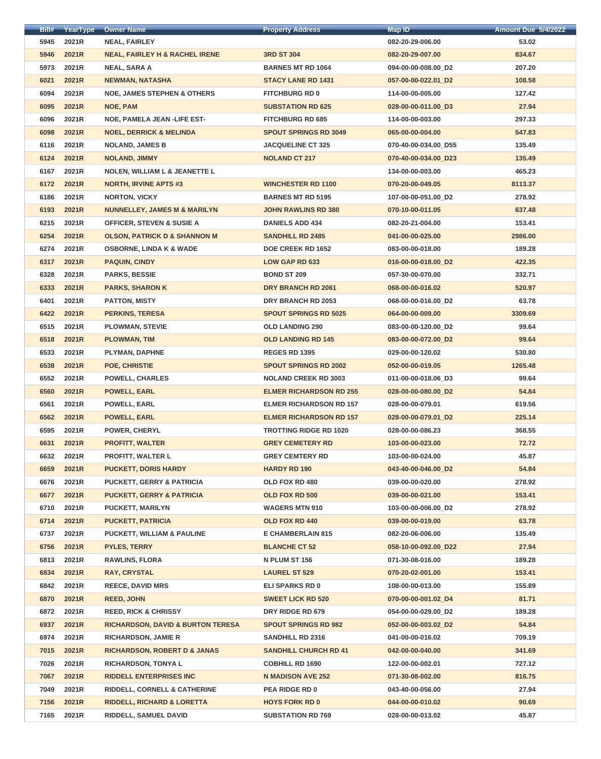| <u> ВПІ#</u> | YearType | <b>Owner Name</b>                            | <b>Property Address</b>        | <b>Map ID</b>        | <b>Amount Due 5/4/2022</b> |
|--------------|----------|----------------------------------------------|--------------------------------|----------------------|----------------------------|
| 5945         | 2021R    | <b>NEAL, FAIRLEY</b>                         |                                | 082-20-29-006.00     | 53.02                      |
| 5946         | 2021R    | <b>NEAL, FAIRLEY H &amp; RACHEL IRENE</b>    | <b>3RD ST 304</b>              | 082-20-29-007.00     | 834.67                     |
| 5973         | 2021R    | <b>NEAL, SARA A</b>                          | <b>BARNES MT RD 1064</b>       | 094-00-00-008.00 D2  | 207.20                     |
| 6021         | 2021R    | <b>NEWMAN, NATASHA</b>                       | <b>STACY LANE RD 1431</b>      | 057-00-00-022.01_D2  | 108.58                     |
| 6094         | 2021R    | <b>NOE, JAMES STEPHEN &amp; OTHERS</b>       | <b>FITCHBURG RD 0</b>          | 114-00-00-005.00     | 127.42                     |
| 6095         | 2021R    | <b>NOE, PAM</b>                              | <b>SUBSTATION RD 625</b>       | 028-00-00-011.00_D3  | 27.94                      |
| 6096         | 2021R    | <b>NOE, PAMELA JEAN -LIFE EST-</b>           | <b>FITCHBURG RD 685</b>        | 114-00-00-003.00     | 297.33                     |
| 6098         | 2021R    | <b>NOEL, DERRICK &amp; MELINDA</b>           | <b>SPOUT SPRINGS RD 3049</b>   | 065-00-00-004.00     | 547.83                     |
| 6116         | 2021R    | <b>NOLAND, JAMES B</b>                       | <b>JACQUELINE CT 325</b>       | 070-40-00-034.00_D55 | 135.49                     |
| 6124         | 2021R    | <b>NOLAND, JIMMY</b>                         | <b>NOLAND CT 217</b>           | 070-40-00-034.00_D23 | 135.49                     |
| 6167         | 2021R    | <b>NOLEN, WILLIAM L &amp; JEANETTE L</b>     |                                | 134-00-00-003.00     | 465.23                     |
| 6172         | 2021R    | <b>NORTH, IRVINE APTS #3</b>                 | <b>WINCHESTER RD 1100</b>      | 070-20-00-049.05     | 8113.37                    |
| 6186         | 2021R    | <b>NORTON, VICKY</b>                         | <b>BARNES MT RD 5195</b>       | 107-00-00-051.00_D2  | 278.92                     |
| 6193         | 2021R    | <b>NUNNELLEY, JAMES M &amp; MARILYN</b>      | <b>JOHN RAWLINS RD 380</b>     | 070-10-00-011.05     | 637.48                     |
| 6215         | 2021R    | <b>OFFICER, STEVEN &amp; SUSIE A</b>         | <b>DANIELS ADD 434</b>         | 082-20-21-004.00     | 153.41                     |
| 6254         | 2021R    | <b>OLSON, PATRICK D &amp; SHANNON M</b>      | <b>SANDHILL RD 2485</b>        | 041-00-00-025.00     | 2986.00                    |
| 6274         | 2021R    | <b>OSBORNE, LINDA K &amp; WADE</b>           | <b>DOE CREEK RD 1652</b>       | 083-00-00-018.00     | 189.28                     |
| 6317         | 2021R    | <b>PAQUIN, CINDY</b>                         | <b>LOW GAP RD 633</b>          | 016-00-00-018.00_D2  | 422.35                     |
| 6328         | 2021R    | <b>PARKS, BESSIE</b>                         | <b>BOND ST 209</b>             | 057-30-00-070.00     | 332.71                     |
| 6333         | 2021R    | <b>PARKS, SHARON K</b>                       | DRY BRANCH RD 2061             | 068-00-00-016.02     | 520.97                     |
| 6401         | 2021R    | <b>PATTON, MISTY</b>                         | DRY BRANCH RD 2053             | 068-00-00-016.00_D2  | 63.78                      |
| 6422         | 2021R    | <b>PERKINS, TERESA</b>                       | <b>SPOUT SPRINGS RD 5025</b>   | 064-00-00-009.00     | 3309.69                    |
| 6515         | 2021R    | <b>PLOWMAN, STEVIE</b>                       | <b>OLD LANDING 290</b>         | 083-00-00-120.00 D2  | 99.64                      |
| 6518         | 2021R    | <b>PLOWMAN, TIM</b>                          | <b>OLD LANDING RD 145</b>      | 083-00-00-072.00 D2  | 99.64                      |
| 6533         | 2021R    | <b>PLYMAN, DAPHNE</b>                        | <b>REGES RD 1395</b>           | 029-00-00-120.02     | 530.80                     |
| 6538         | 2021R    | POE, CHRISTIE                                | <b>SPOUT SPRINGS RD 2002</b>   | 052-00-00-019.05     | 1265.48                    |
| 6552         | 2021R    | <b>POWELL, CHARLES</b>                       | <b>NOLAND CREEK RD 3003</b>    | 011-00-00-018.06_D3  | 99.64                      |
| 6560         | 2021R    | <b>POWELL, EARL</b>                          | <b>ELMER RICHARDSON RD 255</b> | 028-00-00-080.00_D2  | 54.84                      |
| 6561         | 2021R    | <b>POWELL, EARL</b>                          | <b>ELMER RICHARDSON RD 157</b> | 028-00-00-079.01     | 619.56                     |
| 6562         | 2021R    | <b>POWELL, EARL</b>                          | <b>ELMER RICHARDSON RD 157</b> | 028-00-00-079.01_D2  | 225.14                     |
| 6595         | 2021R    | <b>POWER, CHERYL</b>                         | <b>TROTTING RIDGE RD 1020</b>  | 028-00-00-086.23     | 368.55                     |
| 6631         | 2021R    | <b>PROFITT, WALTER</b>                       | <b>GREY CEMETERY RD</b>        | 103-00-00-023.00     | 72.72                      |
| 6632         | 2021R    | <b>PROFITT, WALTER L</b>                     | <b>GREY CEMTERY RD</b>         | 103-00-00-024.00     | 45.87                      |
| 6659         | 2021R    | <b>PUCKETT, DORIS HARDY</b>                  | <b>HARDY RD 190</b>            | 043-40-00-046.00_D2  | 54.84                      |
| 6676         | 2021R    | <b>PUCKETT, GERRY &amp; PATRICIA</b>         | OLD FOX RD 480                 | 039-00-00-020.00     | 278.92                     |
| 6677         | 2021R    | <b>PUCKETT, GERRY &amp; PATRICIA</b>         | <b>OLD FOX RD 500</b>          | 039-00-00-021.00     | 153.41                     |
| 6710         | 2021R    | <b>PUCKETT, MARILYN</b>                      | <b>WAGERS MTN 910</b>          | 103-00-00-006.00_D2  | 278.92                     |
| 6714         | 2021R    | <b>PUCKETT, PATRICIA</b>                     | OLD FOX RD 440                 | 039-00-00-019.00     | 63.78                      |
| 6737         | 2021R    | <b>PUCKETT, WILLIAM &amp; PAULINE</b>        | <b>E CHAMBERLAIN 815</b>       | 082-20-06-006.00     | 135.49                     |
| 6756         | 2021R    | <b>PYLES, TERRY</b>                          | <b>BLANCHE CT 52</b>           | 058-10-00-092.00_D22 | 27.94                      |
| 6813         | 2021R    | <b>RAWLINS, FLORA</b>                        | N PLUM ST 156                  | 071-30-08-016.00     | 189.28                     |
| 6834         | 2021R    | <b>RAY, CRYSTAL</b>                          | <b>LAUREL ST 529</b>           | 070-20-02-001.00     | 153.41                     |
| 6842         | 2021R    | <b>REECE, DAVID MRS</b>                      | <b>ELI SPARKS RD 0</b>         | 108-00-00-013.00     | 155.89                     |
| 6870         | 2021R    | <b>REED, JOHN</b>                            | <b>SWEET LICK RD 520</b>       | 070-00-00-001.02_D4  | 81.71                      |
| 6872         | 2021R    | <b>REED, RICK &amp; CHRISSY</b>              | DRY RIDGE RD 679               | 054-00-00-029.00_D2  | 189.28                     |
| 6937         | 2021R    | <b>RICHARDSON, DAVID &amp; BURTON TERESA</b> | <b>SPOUT SPRINGS RD 982</b>    | 052-00-00-003.02 D2  | 54.84                      |
| 6974         | 2021R    | <b>RICHARDSON, JAMIE R</b>                   | <b>SANDHILL RD 2316</b>        | 041-00-00-016.02     | 709.19                     |
| 7015         | 2021R    | <b>RICHARDSON, ROBERT D &amp; JANAS</b>      | <b>SANDHILL CHURCH RD 41</b>   | 042-00-00-040.00     | 341.69                     |
| 7026         | 2021R    | <b>RICHARDSON, TONYAL</b>                    | <b>COBHILL RD 1690</b>         | 122-00-00-002.01     | 727.12                     |
| 7067         | 2021R    | <b>RIDDELL ENTERPRISES INC</b>               | <b>N MADISON AVE 252</b>       | 071-30-08-002.00     | 816.75                     |
| 7049         | 2021R    | <b>RIDDELL, CORNELL &amp; CATHERINE</b>      | <b>PEA RIDGE RD 0</b>          | 043-40-00-056.00     | 27.94                      |
| 7156         | 2021R    | <b>RIDDELL, RICHARD &amp; LORETTA</b>        | <b>HOYS FORK RD 0</b>          | 044-00-00-010.02     | 90.69                      |
| 7165         | 2021R    | <b>RIDDELL, SAMUEL DAVID</b>                 | <b>SUBSTATION RD 769</b>       | 028-00-00-013.02     | 45.87                      |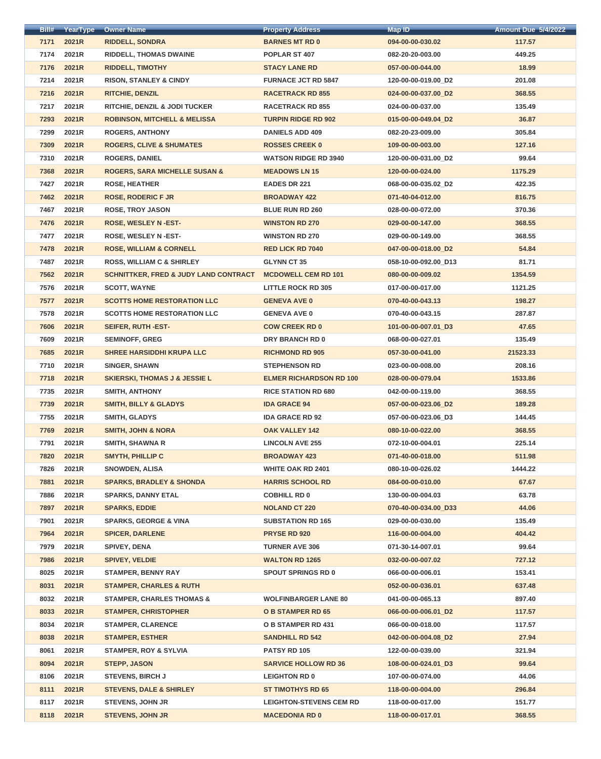| Bill# | YearType | <b>Owner Name</b>                                | <b>Property Address</b>        | <b>Map ID</b>        | <b>Amount Due 5/4/2022</b> |
|-------|----------|--------------------------------------------------|--------------------------------|----------------------|----------------------------|
| 7171  | 2021R    | <b>RIDDELL, SONDRA</b>                           | <b>BARNES MT RD 0</b>          | 094-00-00-030.02     | 117.57                     |
| 7174  | 2021R    | <b>RIDDELL, THOMAS DWAINE</b>                    | POPLAR ST 407                  | 082-20-20-003.00     | 449.25                     |
| 7176  | 2021R    | <b>RIDDELL, TIMOTHY</b>                          | <b>STACY LANE RD</b>           | 057-00-00-044.00     | 18.99                      |
| 7214  | 2021R    | <b>RISON, STANLEY &amp; CINDY</b>                | <b>FURNACE JCT RD 5847</b>     | 120-00-00-019.00_D2  | 201.08                     |
| 7216  | 2021R    | <b>RITCHIE, DENZIL</b>                           | <b>RACETRACK RD 855</b>        | 024-00-00-037.00_D2  | 368.55                     |
| 7217  | 2021R    | <b>RITCHIE, DENZIL &amp; JODI TUCKER</b>         | <b>RACETRACK RD 855</b>        | 024-00-00-037.00     | 135.49                     |
| 7293  | 2021R    | <b>ROBINSON, MITCHELL &amp; MELISSA</b>          | <b>TURPIN RIDGE RD 902</b>     | 015-00-00-049.04_D2  | 36.87                      |
| 7299  | 2021R    | <b>ROGERS, ANTHONY</b>                           | <b>DANIELS ADD 409</b>         | 082-20-23-009.00     | 305.84                     |
| 7309  | 2021R    | <b>ROGERS, CLIVE &amp; SHUMATES</b>              | <b>ROSSES CREEK 0</b>          | 109-00-00-003.00     | 127.16                     |
| 7310  | 2021R    | <b>ROGERS, DANIEL</b>                            | <b>WATSON RIDGE RD 3940</b>    | 120-00-00-031.00_D2  | 99.64                      |
| 7368  | 2021R    | <b>ROGERS, SARA MICHELLE SUSAN &amp;</b>         | <b>MEADOWS LN 15</b>           | 120-00-00-024.00     | 1175.29                    |
| 7427  | 2021R    | <b>ROSE, HEATHER</b>                             | <b>EADES DR 221</b>            | 068-00-00-035.02_D2  | 422.35                     |
| 7462  | 2021R    | <b>ROSE, RODERIC F JR</b>                        | <b>BROADWAY 422</b>            | 071-40-04-012.00     | 816.75                     |
| 7467  | 2021R    | <b>ROSE, TROY JASON</b>                          | <b>BLUE RUN RD 260</b>         | 028-00-00-072.00     | 370.36                     |
| 7476  | 2021R    | <b>ROSE, WESLEY N-EST-</b>                       | <b>WINSTON RD 270</b>          | 029-00-00-147.00     | 368.55                     |
| 7477  | 2021R    | <b>ROSE, WESLEY N-EST-</b>                       | <b>WINSTON RD 270</b>          | 029-00-00-149.00     | 368.55                     |
| 7478  | 2021R    | <b>ROSE, WILLIAM &amp; CORNELL</b>               | <b>RED LICK RD 7040</b>        | 047-00-00-018.00_D2  | 54.84                      |
| 7487  | 2021R    | <b>ROSS, WILLIAM C &amp; SHIRLEY</b>             | <b>GLYNN CT 35</b>             | 058-10-00-092.00_D13 | 81.71                      |
| 7562  | 2021R    | <b>SCHNITTKER, FRED &amp; JUDY LAND CONTRACT</b> | <b>MCDOWELL CEM RD 101</b>     | 080-00-00-009.02     | 1354.59                    |
| 7576  | 2021R    | <b>SCOTT, WAYNE</b>                              | <b>LITTLE ROCK RD 305</b>      | 017-00-00-017.00     | 1121.25                    |
| 7577  | 2021R    | <b>SCOTTS HOME RESTORATION LLC</b>               | <b>GENEVA AVE 0</b>            | 070-40-00-043.13     | 198.27                     |
| 7578  | 2021R    | <b>SCOTTS HOME RESTORATION LLC</b>               | <b>GENEVA AVE 0</b>            | 070-40-00-043.15     | 287.87                     |
| 7606  | 2021R    | <b>SEIFER, RUTH-EST-</b>                         | <b>COW CREEK RD 0</b>          | 101-00-00-007.01 D3  | 47.65                      |
| 7609  | 2021R    | <b>SEMINOFF, GREG</b>                            | DRY BRANCH RD 0                | 068-00-00-027.01     | 135.49                     |
| 7685  | 2021R    | <b>SHREE HARSIDDHI KRUPA LLC</b>                 | <b>RICHMOND RD 905</b>         | 057-30-00-041.00     | 21523.33                   |
| 7710  | 2021R    | <b>SINGER, SHAWN</b>                             | <b>STEPHENSON RD</b>           | 023-00-00-008.00     | 208.16                     |
| 7718  | 2021R    | <b>SKIERSKI, THOMAS J &amp; JESSIE L</b>         | <b>ELMER RICHARDSON RD 100</b> | 028-00-00-079.04     | 1533.86                    |
| 7735  | 2021R    | <b>SMITH, ANTHONY</b>                            | <b>RICE STATION RD 680</b>     | 042-00-00-119.00     | 368.55                     |
| 7739  | 2021R    | <b>SMITH, BILLY &amp; GLADYS</b>                 | <b>IDA GRACE 94</b>            | 057-00-00-023.06_D2  | 189.28                     |
| 7755  | 2021R    | <b>SMITH, GLADYS</b>                             | <b>IDA GRACE RD 92</b>         | 057-00-00-023.06_D3  | 144.45                     |
| 7769  | 2021R    | <b>SMITH, JOHN &amp; NORA</b>                    | <b>OAK VALLEY 142</b>          | 080-10-00-022.00     | 368.55                     |
| 7791  | 2021R    | <b>SMITH, SHAWNA R</b>                           | <b>LINCOLN AVE 255</b>         | 072-10-00-004.01     | 225.14                     |
| 7820  | 2021R    | <b>SMYTH, PHILLIP C</b>                          | <b>BROADWAY 423</b>            | 071-40-00-018.00     | 511.98                     |
| 7826  | 2021R    | <b>SNOWDEN, ALISA</b>                            | <b>WHITE OAK RD 2401</b>       | 080-10-00-026.02     | 1444.22                    |
| 7881  | 2021R    | <b>SPARKS, BRADLEY &amp; SHONDA</b>              | <b>HARRIS SCHOOL RD</b>        | 084-00-00-010.00     | 67.67                      |
| 7886  | 2021R    | <b>SPARKS, DANNY ETAL</b>                        | <b>COBHILL RD 0</b>            | 130-00-00-004.03     | 63.78                      |
| 7897  | 2021R    | <b>SPARKS, EDDIE</b>                             | <b>NOLAND CT 220</b>           | 070-40-00-034.00_D33 | 44.06                      |
| 7901  | 2021R    | <b>SPARKS, GEORGE &amp; VINA</b>                 | <b>SUBSTATION RD 165</b>       | 029-00-00-030.00     | 135.49                     |
| 7964  | 2021R    | <b>SPICER, DARLENE</b>                           | <b>PRYSE RD 920</b>            | 116-00-00-004.00     | 404.42                     |
| 7979  | 2021R    | <b>SPIVEY, DENA</b>                              | <b>TURNER AVE 306</b>          | 071-30-14-007.01     | 99.64                      |
| 7986  | 2021R    | <b>SPIVEY, VELDIE</b>                            | <b>WALTON RD 1265</b>          | 032-00-00-007.02     | 727.12                     |
| 8025  | 2021R    | <b>STAMPER, BENNY RAY</b>                        | <b>SPOUT SPRINGS RD 0</b>      | 066-00-00-006.01     | 153.41                     |
| 8031  | 2021R    | <b>STAMPER, CHARLES &amp; RUTH</b>               |                                | 052-00-00-036.01     | 637.48                     |
| 8032  | 2021R    | <b>STAMPER, CHARLES THOMAS &amp;</b>             | <b>WOLFINBARGER LANE 80</b>    | 041-00-00-065.13     | 897.40                     |
| 8033  | 2021R    | <b>STAMPER, CHRISTOPHER</b>                      | <b>OB STAMPER RD 65</b>        | 066-00-00-006.01_D2  | 117.57                     |
| 8034  | 2021R    | <b>STAMPER, CLARENCE</b>                         | O B STAMPER RD 431             | 066-00-00-018.00     | 117.57                     |
| 8038  | 2021R    | <b>STAMPER, ESTHER</b>                           | <b>SANDHILL RD 542</b>         | 042-00-00-004.08_D2  | 27.94                      |
| 8061  | 2021R    | <b>STAMPER, ROY &amp; SYLVIA</b>                 | <b>PATSY RD 105</b>            | 122-00-00-039.00     | 321.94                     |
| 8094  | 2021R    | <b>STEPP, JASON</b>                              | <b>SARVICE HOLLOW RD 36</b>    | 108-00-00-024.01_D3  | 99.64                      |
| 8106  | 2021R    | <b>STEVENS, BIRCH J</b>                          | <b>LEIGHTON RD 0</b>           | 107-00-00-074.00     | 44.06                      |
| 8111  | 2021R    | <b>STEVENS, DALE &amp; SHIRLEY</b>               | <b>ST TIMOTHYS RD 65</b>       | 118-00-00-004.00     | 296.84                     |
| 8117  | 2021R    | <b>STEVENS, JOHN JR</b>                          | <b>LEIGHTON-STEVENS CEM RD</b> | 118-00-00-017.00     | 151.77                     |
| 8118  | 2021R    | <b>STEVENS, JOHN JR</b>                          | <b>MACEDONIA RD 0</b>          | 118-00-00-017.01     | 368.55                     |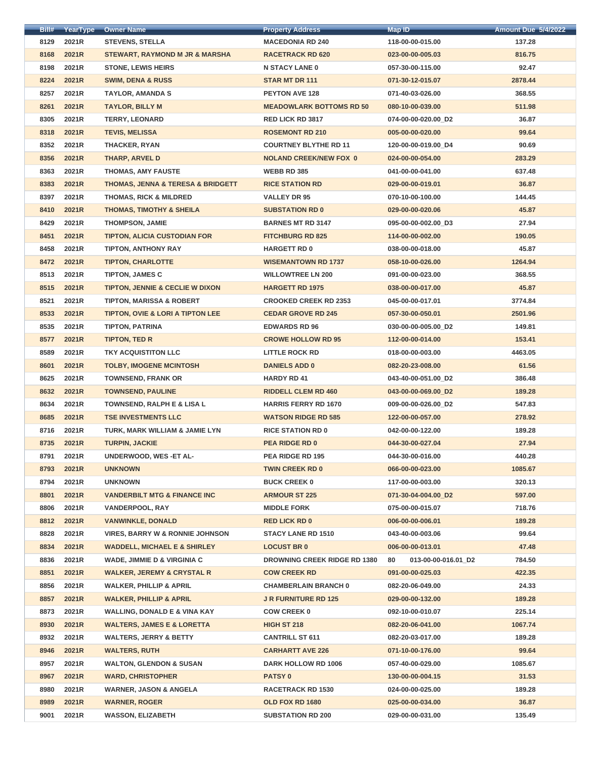| <u>ВШ#</u> | <b>YearType</b> | <b>Owner Name</b>                                | <b>Property Address</b>             | Map ID <sup>.</sup>       | <b>Amount Due 5/4/2022</b> |
|------------|-----------------|--------------------------------------------------|-------------------------------------|---------------------------|----------------------------|
| 8129       | 2021R           | <b>STEVENS, STELLA</b>                           | <b>MACEDONIA RD 240</b>             | 118-00-00-015.00          | 137.28                     |
| 8168       | 2021R           | <b>STEWART, RAYMOND M JR &amp; MARSHA</b>        | <b>RACETRACK RD 620</b>             | 023-00-00-005.03          | 816.75                     |
| 8198       | 2021R           | <b>STONE, LEWIS HEIRS</b>                        | <b>N STACY LANE 0</b>               | 057-30-00-115.00          | 92.47                      |
| 8224       | 2021R           | <b>SWIM, DENA &amp; RUSS</b>                     | <b>STAR MT DR 111</b>               | 071-30-12-015.07          | 2878.44                    |
| 8257       | 2021R           | <b>TAYLOR, AMANDA S</b>                          | <b>PEYTON AVE 128</b>               | 071-40-03-026.00          | 368.55                     |
| 8261       | 2021R           | <b>TAYLOR, BILLY M</b>                           | <b>MEADOWLARK BOTTOMS RD 50</b>     | 080-10-00-039.00          | 511.98                     |
| 8305       | 2021R           | <b>TERRY, LEONARD</b>                            | <b>RED LICK RD 3817</b>             | 074-00-00-020.00_D2       | 36.87                      |
| 8318       | 2021R           | <b>TEVIS, MELISSA</b>                            | <b>ROSEMONT RD 210</b>              | 005-00-00-020.00          | 99.64                      |
| 8352       | 2021R           | <b>THACKER, RYAN</b>                             | <b>COURTNEY BLYTHE RD 11</b>        | 120-00-00-019.00_D4       | 90.69                      |
| 8356       | 2021R           | <b>THARP, ARVEL D</b>                            | <b>NOLAND CREEK/NEW FOX 0</b>       | 024-00-00-054.00          | 283.29                     |
| 8363       | 2021R           | <b>THOMAS, AMY FAUSTE</b>                        | <b>WEBB RD 385</b>                  | 041-00-00-041.00          | 637.48                     |
| 8383       | 2021R           | <b>THOMAS, JENNA &amp; TERESA &amp; BRIDGETT</b> | <b>RICE STATION RD</b>              | 029-00-00-019.01          | 36.87                      |
| 8397       | 2021R           | <b>THOMAS, RICK &amp; MILDRED</b>                | <b>VALLEY DR 95</b>                 | 070-10-00-100.00          | 144.45                     |
| 8410       | 2021R           | <b>THOMAS, TIMOTHY &amp; SHEILA</b>              | <b>SUBSTATION RD 0</b>              | 029-00-00-020.06          | 45.87                      |
| 8429       | 2021R           | <b>THOMPSON, JAMIE</b>                           | <b>BARNES MT RD 3147</b>            | 095-00-00-002.00_D3       | 27.94                      |
| 8451       | 2021R           | <b>TIPTON, ALICIA CUSTODIAN FOR</b>              | <b>FITCHBURG RD 825</b>             | 114-00-00-002.00          | 190.05                     |
| 8458       | 2021R           | <b>TIPTON, ANTHONY RAY</b>                       | <b>HARGETT RD 0</b>                 | 038-00-00-018.00          | 45.87                      |
| 8472       | 2021R           | <b>TIPTON, CHARLOTTE</b>                         | <b>WISEMANTOWN RD 1737</b>          | 058-10-00-026.00          | 1264.94                    |
| 8513       | 2021R           | <b>TIPTON, JAMES C</b>                           | <b>WILLOWTREE LN 200</b>            | 091-00-00-023.00          | 368.55                     |
| 8515       | 2021R           | <b>TIPTON, JENNIE &amp; CECLIE W DIXON</b>       | <b>HARGETT RD 1975</b>              | 038-00-00-017.00          | 45.87                      |
| 8521       | 2021R           | <b>TIPTON, MARISSA &amp; ROBERT</b>              | <b>CROOKED CREEK RD 2353</b>        | 045-00-00-017.01          | 3774.84                    |
| 8533       | 2021R           | <b>TIPTON, OVIE &amp; LORI A TIPTON LEE</b>      | <b>CEDAR GROVE RD 245</b>           | 057-30-00-050.01          | 2501.96                    |
| 8535       | 2021R           | <b>TIPTON, PATRINA</b>                           | <b>EDWARDS RD 96</b>                | 030-00-00-005.00_D2       | 149.81                     |
| 8577       | 2021R           | <b>TIPTON, TED R</b>                             | <b>CROWE HOLLOW RD 95</b>           | 112-00-00-014.00          | 153.41                     |
| 8589       | 2021R           | <b>TKY ACQUISTITON LLC</b>                       | <b>LITTLE ROCK RD</b>               | 018-00-00-003.00          | 4463.05                    |
| 8601       | 2021R           | <b>TOLBY, IMOGENE MCINTOSH</b>                   | <b>DANIELS ADD 0</b>                | 082-20-23-008.00          | 61.56                      |
| 8625       | 2021R           | <b>TOWNSEND, FRANK OR</b>                        | <b>HARDY RD 41</b>                  | 043-40-00-051.00_D2       | 386.48                     |
| 8632       | 2021R           | <b>TOWNSEND, PAULINE</b>                         | <b>RIDDELL CLEM RD 460</b>          | 043-00-00-069.00 D2       | 189.28                     |
| 8634       | 2021R           | <b>TOWNSEND, RALPH E &amp; LISA L</b>            | <b>HARRIS FERRY RD 1670</b>         | 009-00-00-026.00_D2       | 547.83                     |
| 8685       | 2021R           | <b>TSE INVESTMENTS LLC</b>                       | <b>WATSON RIDGE RD 585</b>          | 122-00-00-057.00          | 278.92                     |
| 8716       | 2021R           | TURK, MARK WILLIAM & JAMIE LYN                   | <b>RICE STATION RD 0</b>            | 042-00-00-122.00          | 189.28                     |
| 8735       | 2021R           | <b>TURPIN, JACKIE</b>                            | <b>PEA RIDGE RD 0</b>               | 044-30-00-027.04          | 27.94                      |
| 8791       | 2021R           | <b>UNDERWOOD, WES-ET AL-</b>                     | <b>PEA RIDGE RD 195</b>             | 044-30-00-016.00          | 440.28                     |
| 8793       | 2021R           | <b>UNKNOWN</b>                                   | <b>TWIN CREEK RD 0</b>              | 066-00-00-023.00          | 1085.67                    |
| 8794       | 2021R           | <b>UNKNOWN</b>                                   | <b>BUCK CREEK 0</b>                 | 117-00-00-003.00          | 320.13                     |
| 8801       | 2021R           | <b>VANDERBILT MTG &amp; FINANCE INC</b>          | <b>ARMOUR ST 225</b>                | 071-30-04-004.00_D2       | 597.00                     |
| 8806       | 2021R           | <b>VANDERPOOL, RAY</b>                           | <b>MIDDLE FORK</b>                  | 075-00-00-015.07          | 718.76                     |
| 8812       | 2021R           | <b>VANWINKLE, DONALD</b>                         | <b>RED LICK RD 0</b>                | 006-00-00-006.01          | 189.28                     |
| 8828       | 2021R           | <b>VIRES, BARRY W &amp; RONNIE JOHNSON</b>       | <b>STACY LANE RD 1510</b>           | 043-40-00-003.06          | 99.64                      |
| 8834       | 2021R           | <b>WADDELL, MICHAEL E &amp; SHIRLEY</b>          | <b>LOCUST BR 0</b>                  | 006-00-00-013.01          | 47.48                      |
| 8836       | 2021R           | <b>WADE, JIMMIE D &amp; VIRGINIA C</b>           | <b>DROWNING CREEK RIDGE RD 1380</b> | 013-00-00-016.01_D2<br>80 | 784.50                     |
| 8851       | 2021R           | <b>WALKER, JEREMY &amp; CRYSTAL R</b>            | <b>COW CREEK RD</b>                 | 091-00-00-025.03          | 422.35                     |
| 8856       | 2021R           | <b>WALKER, PHILLIP &amp; APRIL</b>               | <b>CHAMBERLAIN BRANCH 0</b>         | 082-20-06-049.00          | 24.33                      |
| 8857       | 2021R           | <b>WALKER, PHILLIP &amp; APRIL</b>               | <b>JR FURNITURE RD 125</b>          | 029-00-00-132.00          | 189.28                     |
| 8873       | 2021R           | <b>WALLING, DONALD E &amp; VINA KAY</b>          | <b>COW CREEK 0</b>                  | 092-10-00-010.07          | 225.14                     |
| 8930       | 2021R           | <b>WALTERS, JAMES E &amp; LORETTA</b>            | <b>HIGH ST 218</b>                  | 082-20-06-041.00          | 1067.74                    |
| 8932       | 2021R           | <b>WALTERS, JERRY &amp; BETTY</b>                | <b>CANTRILL ST 611</b>              | 082-20-03-017.00          | 189.28                     |
| 8946       | 2021R           | <b>WALTERS, RUTH</b>                             | <b>CARHARTT AVE 226</b>             | 071-10-00-176.00          | 99.64                      |
| 8957       | 2021R           | <b>WALTON, GLENDON &amp; SUSAN</b>               | DARK HOLLOW RD 1006                 | 057-40-00-029.00          | 1085.67                    |
| 8967       | 2021R           | <b>WARD, CHRISTOPHER</b>                         | <b>PATSY 0</b>                      | 130-00-00-004.15          | 31.53                      |
| 8980       | 2021R           | <b>WARNER, JASON &amp; ANGELA</b>                | <b>RACETRACK RD 1530</b>            | 024-00-00-025.00          | 189.28                     |
| 8989       | 2021R           | <b>WARNER, ROGER</b>                             | OLD FOX RD 1680                     | 025-00-00-034.00          | 36.87                      |
| 9001       | 2021R           | <b>WASSON, ELIZABETH</b>                         | <b>SUBSTATION RD 200</b>            | 029-00-00-031.00          | 135.49                     |